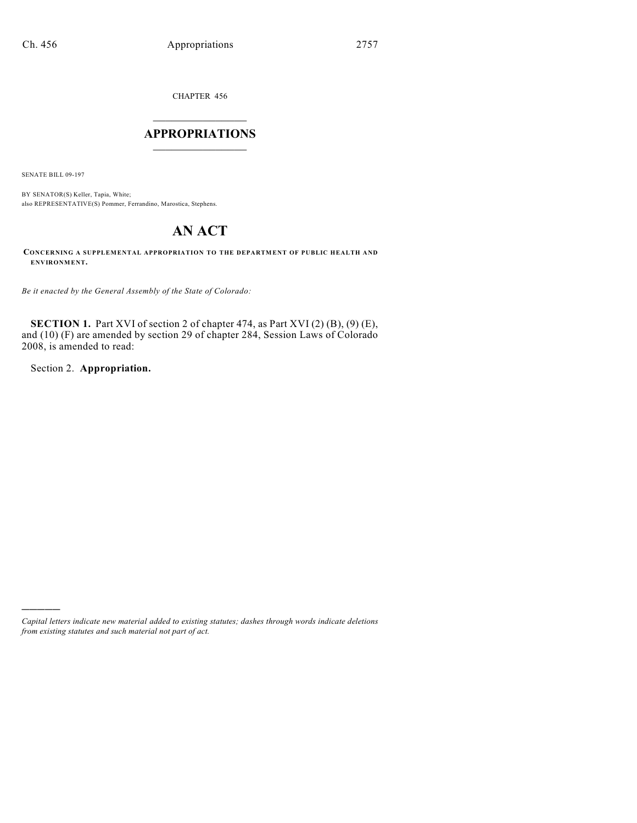CHAPTER 456

# $\overline{\phantom{a}}$  . The set of the set of the set of the set of the set of the set of the set of the set of the set of the set of the set of the set of the set of the set of the set of the set of the set of the set of the set o **APPROPRIATIONS**  $\_$   $\_$   $\_$   $\_$   $\_$   $\_$   $\_$   $\_$

SENATE BILL 09-197

BY SENATOR(S) Keller, Tapia, White; also REPRESENTATIVE(S) Pommer, Ferrandino, Marostica, Stephens.

# **AN ACT**

**CONCERNING A SUPPLEMENTAL APPROPRIATION TO THE DEPARTMENT OF PUBLIC HEALTH AND ENVIRONMENT.**

*Be it enacted by the General Assembly of the State of Colorado:*

**SECTION 1.** Part XVI of section 2 of chapter 474, as Part XVI (2) (B), (9) (E), and (10) (F) are amended by section 29 of chapter 284, Session Laws of Colorado 2008, is amended to read:

Section 2. **Appropriation.**

)))))

*Capital letters indicate new material added to existing statutes; dashes through words indicate deletions from existing statutes and such material not part of act.*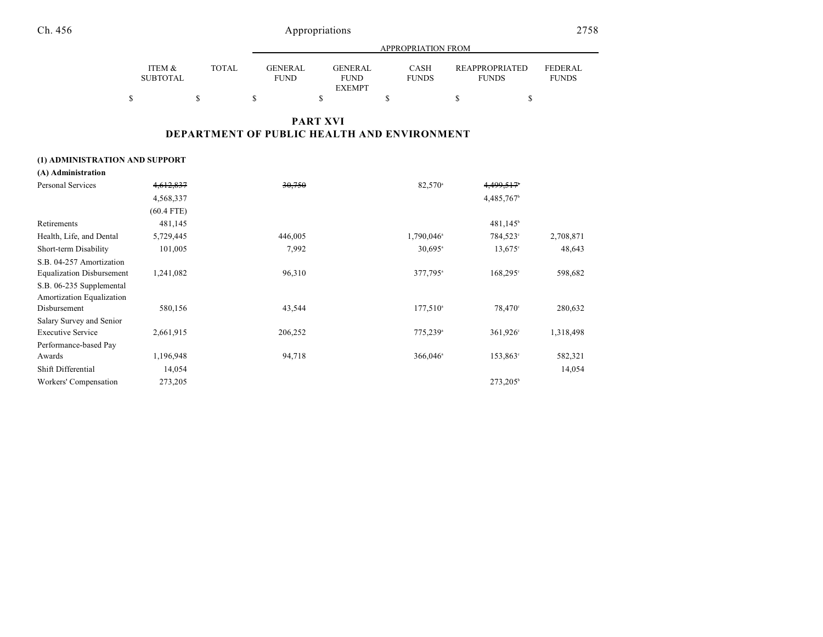| propriations |  |
|--------------|--|
|--------------|--|

|                           |       |                               | APPROPRIATION FROM            |                      |                                       |                                |  |  |  |  |
|---------------------------|-------|-------------------------------|-------------------------------|----------------------|---------------------------------------|--------------------------------|--|--|--|--|
| ITEM &<br><b>SUBTOTAL</b> | TOTAL | <b>GENERAL</b><br><b>FUND</b> | <b>GENERAL</b><br><b>FUND</b> | CASH<br><b>FUNDS</b> | <b>REAPPROPRIATED</b><br><b>FUNDS</b> | <b>FEDERAL</b><br><b>FUNDS</b> |  |  |  |  |
|                           |       |                               | <b>EXEMPT</b>                 |                      |                                       |                                |  |  |  |  |
|                           |       |                               |                               |                      |                                       |                                |  |  |  |  |

# **PART XVI DEPARTMENT OF PUBLIC HEALTH AND ENVIRONMENT**

## **(1) ADMINISTRATION AND SUPPORT**

| (A) Administration               |              |         |                          |                        |           |
|----------------------------------|--------------|---------|--------------------------|------------------------|-----------|
| Personal Services                | 4,612,837    | 30,750  | 82,570 <sup>a</sup>      | 4,499,517              |           |
|                                  | 4,568,337    |         |                          | 4,485,767 <sup>b</sup> |           |
|                                  | $(60.4$ FTE) |         |                          |                        |           |
| Retirements                      | 481,145      |         |                          | $481,145^{\circ}$      |           |
| Health, Life, and Dental         | 5,729,445    | 446,005 | $1,790,046$ <sup>a</sup> | 784,523°               | 2,708,871 |
| Short-term Disability            | 101,005      | 7,992   | $30,695$ <sup>a</sup>    | $13,675$ °             | 48,643    |
| S.B. 04-257 Amortization         |              |         |                          |                        |           |
| <b>Equalization Disbursement</b> | 1,241,082    | 96,310  | 377,795 <sup>a</sup>     | $168,295^{\circ}$      | 598,682   |
| S.B. 06-235 Supplemental         |              |         |                          |                        |           |
| Amortization Equalization        |              |         |                          |                        |           |
| Disbursement                     | 580,156      | 43,544  | $177,510^{\circ}$        | 78.470°                | 280,632   |
| Salary Survey and Senior         |              |         |                          |                        |           |
| <b>Executive Service</b>         | 2,661,915    | 206,252 | 775,239 <sup>a</sup>     | 361,926 <sup>c</sup>   | 1,318,498 |
| Performance-based Pay            |              |         |                          |                        |           |
| Awards                           | 1,196,948    | 94,718  | $366,046$ <sup>a</sup>   | 153,863°               | 582,321   |
| Shift Differential               | 14,054       |         |                          |                        | 14,054    |
| Workers' Compensation            | 273,205      |         |                          | 273,205 <sup>b</sup>   |           |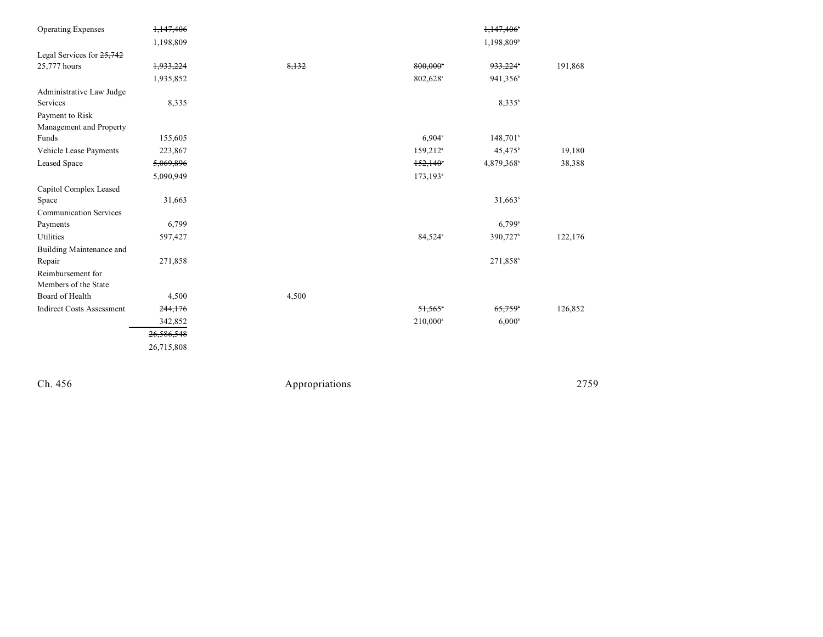| <b>Operating Expenses</b>        | 1,147,406  |       |                         | 1,147,406              |         |
|----------------------------------|------------|-------|-------------------------|------------------------|---------|
|                                  | 1,198,809  |       |                         | 1,198,809 <sup>b</sup> |         |
| Legal Services for 25,742        |            |       |                         |                        |         |
| 25,777 hours                     | 1,933,224  | 8,132 | 800,000*                | 933,224                | 191,868 |
|                                  | 1,935,852  |       | 802,628 <sup>a</sup>    | 941,356 <sup>b</sup>   |         |
| Administrative Law Judge         |            |       |                         |                        |         |
| Services                         | 8,335      |       |                         | 8,335 <sup>b</sup>     |         |
| Payment to Risk                  |            |       |                         |                        |         |
| Management and Property          |            |       |                         |                        |         |
| Funds                            | 155,605    |       | $6,904$ <sup>a</sup>    | 148,701 <sup>b</sup>   |         |
| Vehicle Lease Payments           | 223,867    |       | 159,212 <sup>a</sup>    | $45,475$ <sup>b</sup>  | 19,180  |
| <b>Leased Space</b>              | 5,069,896  |       | $152,140$ <sup>*</sup>  | 4,879,368              | 38,388  |
|                                  | 5,090,949  |       | $173, 193$ <sup>a</sup> |                        |         |
| Capitol Complex Leased           |            |       |                         |                        |         |
| Space                            | 31,663     |       |                         | $31,663^b$             |         |
| <b>Communication Services</b>    |            |       |                         |                        |         |
| Payments                         | 6,799      |       |                         | $6,799$ <sup>b</sup>   |         |
| Utilities                        | 597,427    |       | 84,524 <sup>a</sup>     | 390,727 <sup>b</sup>   | 122,176 |
| Building Maintenance and         |            |       |                         |                        |         |
| Repair                           | 271,858    |       |                         | 271,858 <sup>b</sup>   |         |
| Reimbursement for                |            |       |                         |                        |         |
| Members of the State             |            |       |                         |                        |         |
| Board of Health                  | 4,500      | 4,500 |                         |                        |         |
| <b>Indirect Costs Assessment</b> | 244,176    |       | $51,565$ *              | 65,759                 | 126,852 |
|                                  | 342,852    |       | 210,000 <sup>a</sup>    | $6,000^{\circ}$        |         |
|                                  | 26,586,548 |       |                         |                        |         |
|                                  | 26,715,808 |       |                         |                        |         |
|                                  |            |       |                         |                        |         |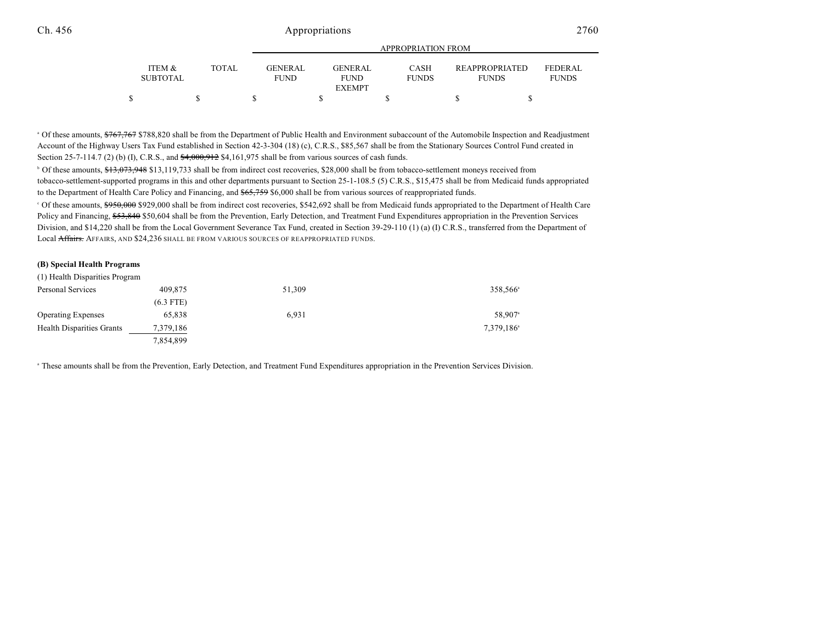|                           |              |                               |                               | APPROPRIATION FROM          |                                       |                                |
|---------------------------|--------------|-------------------------------|-------------------------------|-----------------------------|---------------------------------------|--------------------------------|
| ITEM &<br><b>SUBTOTAL</b> | <b>TOTAL</b> | <b>GENERAL</b><br><b>FUND</b> | <b>GENERAL</b><br><b>FUND</b> | <b>CASH</b><br><b>FUNDS</b> | <b>REAPPROPRIATED</b><br><b>FUNDS</b> | <b>FEDERAL</b><br><b>FUNDS</b> |
|                           |              |                               | <b>EXEMPT</b>                 |                             |                                       |                                |
|                           |              |                               |                               |                             |                                       |                                |

<sup>a</sup> Of these amounts, \$767,767 \$788,820 shall be from the Department of Public Health and Environment subaccount of the Automobile Inspection and Readjustment Account of the Highway Users Tax Fund established in Section 42-3-304 (18) (c), C.R.S., \$85,567 shall be from the Stationary Sources Control Fund created in Section 25-7-114.7 (2) (b) (I), C.R.S., and  $\frac{4,000,912}{4,000,912}$  \$4,161,975 shall be from various sources of cash funds.

<sup>b</sup> Of these amounts, \$13,073,948 \$13,119,733 shall be from indirect cost recoveries, \$28,000 shall be from tobacco-settlement moneys received from tobacco-settlement-supported programs in this and other departments pursuant to Section 25-1-108.5 (5) C.R.S., \$15,475 shall be from Medicaid funds appropriated to the Department of Health Care Policy and Financing, and  $$65,759$  \$6,000 shall be from various sources of reappropriated funds.

<sup>o</sup> Of these amounts, \$950,000 \$929,000 shall be from indirect cost recoveries, \$542,692 shall be from Medicaid funds appropriated to the Department of Health Care Policy and Financing, \$53,840 \$50,604 shall be from the Prevention, Early Detection, and Treatment Fund Expenditures appropriation in the Prevention Services Division, and \$14,220 shall be from the Local Government Severance Tax Fund, created in Section 39-29-110 (1) (a) (I) C.R.S., transferred from the Department of Local Affairs. AFFAIRS, AND \$24,236 SHALL BE FROM VARIOUS SOURCES OF REAPPROPRIATED FUNDS.

### **(B) Special Health Programs**

| (1) Health Disparities Program   |             |        |           |
|----------------------------------|-------------|--------|-----------|
| Personal Services                | 409,875     | 51,309 | 358.566   |
|                                  | $(6.3$ FTE) |        |           |
| <b>Operating Expenses</b>        | 65.838      | 6.931  | 58,907    |
| <b>Health Disparities Grants</b> | 7,379,186   |        | 7,379,186 |
|                                  | 7,854,899   |        |           |

These amounts shall be from the Prevention, Early Detection, and Treatment Fund Expenditures appropriation in the Prevention Services Division. <sup>a</sup>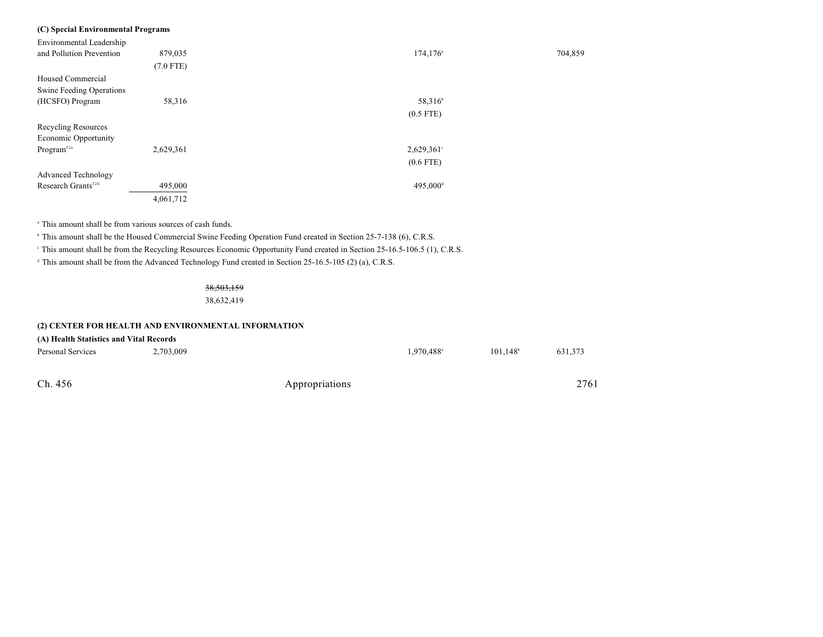## **(C) Special Environmental Programs**

| Environmental Leadership       |             |                         |         |
|--------------------------------|-------------|-------------------------|---------|
| and Pollution Prevention       | 879,035     | $174, 176$ <sup>a</sup> | 704,859 |
|                                | $(7.0$ FTE) |                         |         |
| Housed Commercial              |             |                         |         |
| Swine Feeding Operations       |             |                         |         |
| (HCSFO) Program                | 58,316      | 58,316 <sup>b</sup>     |         |
|                                |             | $(0.5$ FTE)             |         |
| Recycling Resources            |             |                         |         |
| Economic Opportunity           |             |                         |         |
| Program <sup>52a</sup>         | 2,629,361   | $2,629,361$ °           |         |
|                                |             | $(0.6$ FTE)             |         |
| <b>Advanced Technology</b>     |             |                         |         |
| Research Grants <sup>52b</sup> | 495,000     | 495,000 <sup>d</sup>    |         |
|                                | 4,061,712   |                         |         |
|                                |             |                         |         |

<sup>a</sup> This amount shall be from various sources of cash funds.

<sup>b</sup> This amount shall be the Housed Commercial Swine Feeding Operation Fund created in Section 25-7-138 (6), C.R.S.

This amount shall be from the Recycling Resources Economic Opportunity Fund created in Section 25-16.5-106.5 (1), C.R.S. <sup>c</sup>

<sup>d</sup> This amount shall be from the Advanced Technology Fund created in Section 25-16.5-105 (2) (a), C.R.S.

## 38,503,159

38,632,419

## **(2) CENTER FOR HEALTH AND ENVIRONMENTAL INFORMATION**

| (A) Health Statistics and Vital Records |  |  |  |
|-----------------------------------------|--|--|--|
|-----------------------------------------|--|--|--|

| <b>Personal Services</b> | 2,703,009 | $1,970,488$ <sup>a</sup> | $101,148$ <sup>b</sup> | 631,373 |
|--------------------------|-----------|--------------------------|------------------------|---------|
|                          |           |                          |                        |         |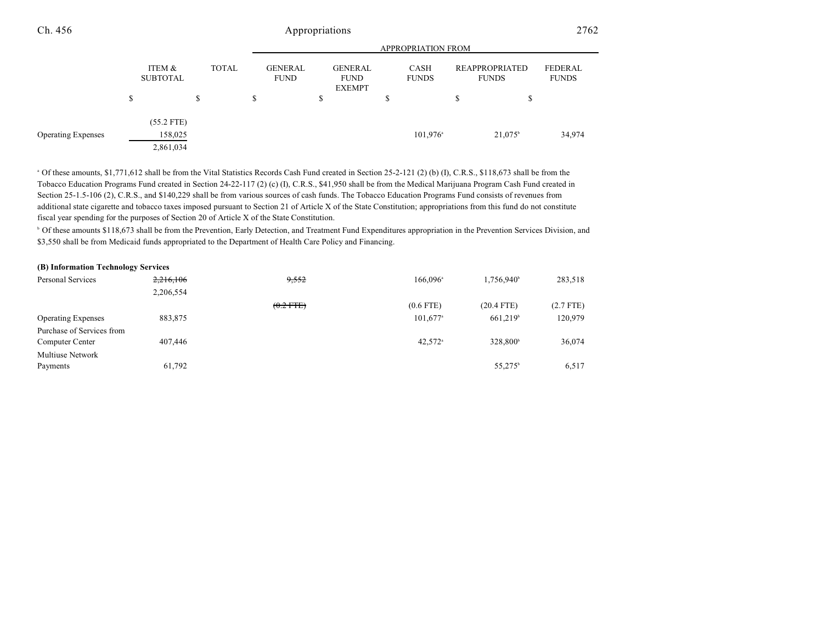|                           |                           |              | <b>APPROPRIATION FROM</b>     |   |                                                |   |                             |    |                                       |                         |
|---------------------------|---------------------------|--------------|-------------------------------|---|------------------------------------------------|---|-----------------------------|----|---------------------------------------|-------------------------|
|                           | ITEM &<br><b>SUBTOTAL</b> | <b>TOTAL</b> | <b>GENERAL</b><br><b>FUND</b> |   | <b>GENERAL</b><br><b>FUND</b><br><b>EXEMPT</b> |   | <b>CASH</b><br><b>FUNDS</b> |    | <b>REAPPROPRIATED</b><br><b>FUNDS</b> | FEDERAL<br><b>FUNDS</b> |
|                           | \$                        | \$           | \$                            | ъ |                                                | D |                             | \$ | \$                                    |                         |
|                           | $(55.2$ FTE)              |              |                               |   |                                                |   |                             |    |                                       |                         |
| <b>Operating Expenses</b> | 158,025                   |              |                               |   |                                                |   | $101,976$ <sup>a</sup>      |    | 21,075 <sup>b</sup>                   | 34,974                  |
|                           | 2,861,034                 |              |                               |   |                                                |   |                             |    |                                       |                         |

<sup>a</sup> Of these amounts, \$1,771,612 shall be from the Vital Statistics Records Cash Fund created in Section 25-2-121 (2) (b) (I), C.R.S., \$118,673 shall be from the Tobacco Education Programs Fund created in Section 24-22-117 (2) (c) (I), C.R.S., \$41,950 shall be from the Medical Marijuana Program Cash Fund created in Section 25-1.5-106 (2), C.R.S., and \$140,229 shall be from various sources of cash funds. The Tobacco Education Programs Fund consists of revenues from additional state cigarette and tobacco taxes imposed pursuant to Section 21 of Article X of the State Constitution; appropriations from this fund do not constitute fiscal year spending for the purposes of Section 20 of Article X of the State Constitution.

<sup>b</sup> Of these amounts \$118,673 shall be from the Prevention, Early Detection, and Treatment Fund Expenditures appropriation in the Prevention Services Division, and \$3,550 shall be from Medicaid funds appropriated to the Department of Health Care Policy and Financing.

#### **(B) Information Technology Services**

| Personal Services         | 2,216,106 | 9,552          | $166.096^{\circ}$     | $1.756.940^{\circ}$  | 283,518     |
|---------------------------|-----------|----------------|-----------------------|----------------------|-------------|
|                           | 2,206,554 |                |                       |                      |             |
|                           |           | $(0.2$ FTE $)$ | $(0.6$ FTE)           | $(20.4$ FTE)         | $(2.7$ FTE) |
| <b>Operating Expenses</b> | 883,875   |                | $101.677^{\circ}$     | 661.219 <sup>b</sup> | 120,979     |
| Purchase of Services from |           |                |                       |                      |             |
| Computer Center           | 407,446   |                | $42,572$ <sup>a</sup> | 328,800 <sup>b</sup> | 36,074      |
| <b>Multiuse Network</b>   |           |                |                       |                      |             |
| Payments                  | 61,792    |                |                       | $55,275^{\circ}$     | 6,517       |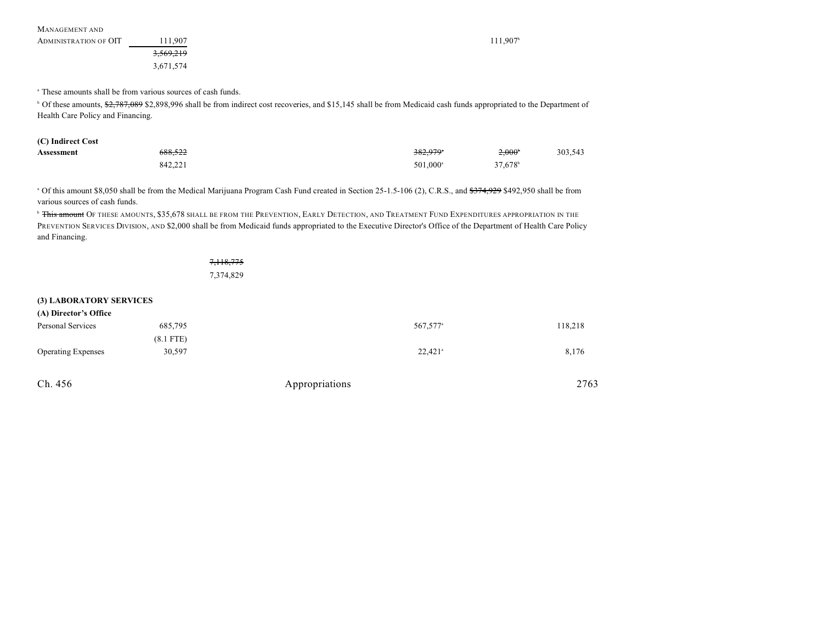| MANAGEMENT AND        |                      |                       |
|-----------------------|----------------------|-----------------------|
| ADMINISTRATION OF OIT | 11.907ء              | $11.907$ <sup>t</sup> |
|                       | <del>3,569,219</del> |                       |
|                       | 3,671,574            |                       |

<sup>a</sup> These amounts shall be from various sources of cash funds.

<sup>b</sup> Of these amounts, \$2,787,089 \$2,898,996 shall be from indirect cost recoveries, and \$15,145 shall be from Medicaid cash funds appropriated to the Department of Health Care Policy and Financing.

| (C) Indirect Cost |                    |                      |                     |         |
|-------------------|--------------------|----------------------|---------------------|---------|
| Assessment        | <del>688.522</del> | 382.979°             | $2.000^*$           | 303.543 |
|                   | 842,221            | 501.000 <sup>a</sup> | 37,678 <sup>b</sup> |         |

<sup>a</sup> Of this amount \$8,050 shall be from the Medical Marijuana Program Cash Fund created in Section 25-1.5-106 (2), C.R.S., and <del>\$374,929</del> \$492,950 shall be from various sources of cash funds.

<sup>b</sup> This amount Of these amounts, \$35,678 shall be from the Prevention, Early Detection, and Treatment Fund Expenditures appropriation in the PREVENTION SERVICES DIVISION, AND \$2,000 shall be from Medicaid funds appropriated to the Executive Director's Office of the Department of Health Care Policy and Financing.

> 7,118,775 7,374,829

#### **(3) LABORATORY SERVICES**

| (A) Director's Office     |             |                       |         |
|---------------------------|-------------|-----------------------|---------|
| Personal Services         | 685,795     | 567,577 <sup>a</sup>  | 118,218 |
|                           | $(8.1$ FTE) |                       |         |
| <b>Operating Expenses</b> | 30,597      | $22,421$ <sup>a</sup> | 8,176   |
|                           |             |                       |         |

| Ch. | 456 |
|-----|-----|
|-----|-----|

Appropriations 2763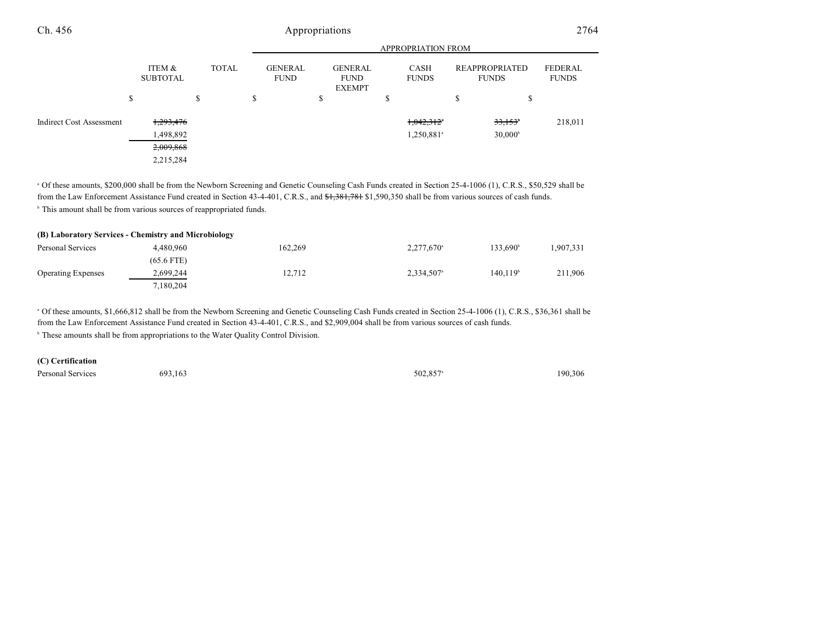|                                 |                                                             |              |                               |                                                | <b>APPROPRIATION FROM</b>           |                                         |                         |
|---------------------------------|-------------------------------------------------------------|--------------|-------------------------------|------------------------------------------------|-------------------------------------|-----------------------------------------|-------------------------|
|                                 | ITEM &<br><b>SUBTOTAL</b>                                   | <b>TOTAL</b> | <b>GENERAL</b><br><b>FUND</b> | <b>GENERAL</b><br><b>FUND</b><br><b>EXEMPT</b> | CASH<br><b>FUNDS</b>                | <b>REAPPROPRIATED</b><br><b>FUNDS</b>   | FEDERAL<br><b>FUNDS</b> |
|                                 | <sup>\$</sup>                                               | S            | ъ                             | Φ<br>Ф                                         | S                                   | \$<br>J.                                |                         |
| <b>Indirect Cost Assessment</b> | <del>1,293,476</del><br>1,498,892<br>2,009,868<br>2,215,284 |              |                               |                                                | 1,042,312<br>1,250,881 <sup>a</sup> | 33,153 <sup>*</sup><br>$30,000^{\circ}$ | 218,011                 |

<sup>a</sup> Of these amounts, \$200,000 shall be from the Newborn Screening and Genetic Counseling Cash Funds created in Section 25-4-1006 (1), C.R.S., \$50,529 shall be from the Law Enforcement Assistance Fund created in Section 43-4-401, C.R.S., and \$1,381,781 \$1,590,350 shall be from various sources of cash funds. <sup>b</sup> This amount shall be from various sources of reappropriated funds.

|                           | (B) Laboratory Services - Chemistry and Microbiology |         |                          |                      |          |
|---------------------------|------------------------------------------------------|---------|--------------------------|----------------------|----------|
| Personal Services         | 4.480.960                                            | 162.269 | $2,277,670$ <sup>a</sup> | 133.690 <sup>b</sup> | .907,331 |
|                           | $(65.6$ FTE)                                         |         |                          |                      |          |
| <b>Operating Expenses</b> | 2,699,244                                            | 12.712  | 2.334.507 <sup>a</sup>   | 140.119 <sup>b</sup> | 211.906  |
|                           | 7.180.204                                            |         |                          |                      |          |

<sup>a</sup> Of these amounts, \$1,666,812 shall be from the Newborn Screening and Genetic Counseling Cash Funds created in Section 25-4-1006 (1), C.R.S., \$36,361 shall be from the Law Enforcement Assistance Fund created in Section 43-4-401, C.R.S., and \$2,909,004 shall be from various sources of cash funds.

<sup>b</sup> These amounts shall be from appropriations to the Water Quality Control Division.

#### **(C) Certification**

Personal Services  $693,163$   $502,857$   $190,306$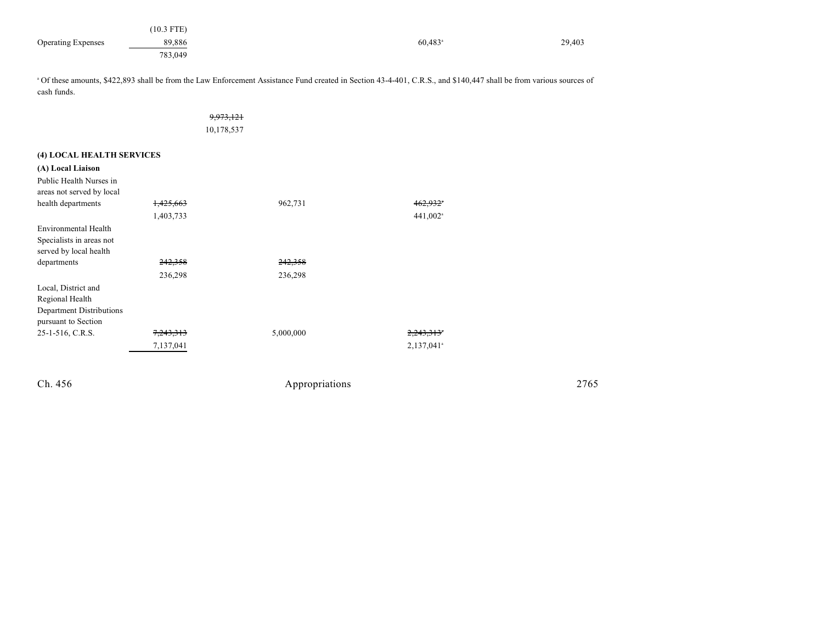|                           | $(10.3$ FTE) |                  |        |
|---------------------------|--------------|------------------|--------|
| <b>Operating Expenses</b> | 89,886       | $60,483^{\circ}$ | 29,403 |
|                           | 783,049      |                  |        |

<sup>a</sup> Of these amounts, \$422,893 shall be from the Law Enforcement Assistance Fund created in Section 43-4-401, C.R.S., and \$140,447 shall be from various sources of cash funds.

|                                                                                           |                                   | 9.973.121          |           |
|-------------------------------------------------------------------------------------------|-----------------------------------|--------------------|-----------|
|                                                                                           |                                   | 10,178,537         |           |
| (4) LOCAL HEALTH SERVICES                                                                 |                                   |                    |           |
| (A) Local Liaison                                                                         |                                   |                    |           |
| Public Health Nurses in<br>areas not served by local                                      |                                   |                    |           |
| health departments                                                                        | <del>1,425,663</del>              | 962,731            |           |
|                                                                                           | 1,403,733                         |                    | 441,002   |
| Environmental Health<br>Specialists in areas not<br>served by local health<br>departments | 242,358                           | <del>242,358</del> |           |
| Local, District and<br>Regional Health<br>Department Distributions<br>pursuant to Section | 236,298                           | 236,298            |           |
| 25-1-516, C.R.S.                                                                          | <del>7,243,313</del><br>7,137,041 | 5,000,000          | 2,137,041 |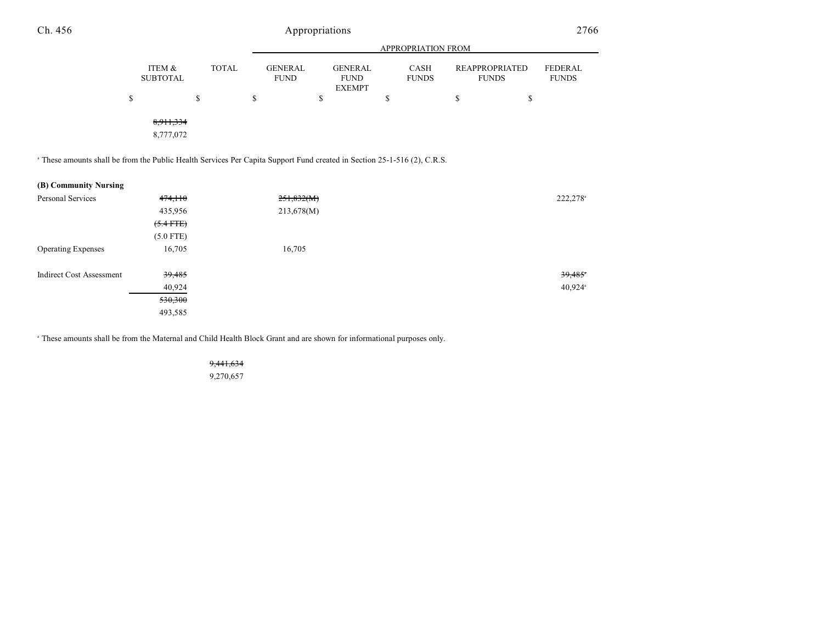|                                                                                                                                     |                           |              |                               |            |                                                | APPROPRIATION FROM   |                                       |                                |
|-------------------------------------------------------------------------------------------------------------------------------------|---------------------------|--------------|-------------------------------|------------|------------------------------------------------|----------------------|---------------------------------------|--------------------------------|
|                                                                                                                                     | ITEM &<br><b>SUBTOTAL</b> | <b>TOTAL</b> | <b>GENERAL</b><br><b>FUND</b> |            | <b>GENERAL</b><br><b>FUND</b><br><b>EXEMPT</b> | CASH<br><b>FUNDS</b> | <b>REAPPROPRIATED</b><br><b>FUNDS</b> | <b>FEDERAL</b><br><b>FUNDS</b> |
|                                                                                                                                     | \$                        | \$           | \$                            | \$         |                                                | \$<br>\$             | \$                                    |                                |
|                                                                                                                                     | 8,911,334<br>8,777,072    |              |                               |            |                                                |                      |                                       |                                |
| <sup>a</sup> These amounts shall be from the Public Health Services Per Capita Support Fund created in Section 25-1-516 (2), C.R.S. |                           |              |                               |            |                                                |                      |                                       |                                |
| (B) Community Nursing                                                                                                               |                           |              |                               |            |                                                |                      |                                       |                                |
| Personal Services                                                                                                                   | 474,110                   |              |                               | 251,832(M) |                                                |                      |                                       | 222,278 <sup>a</sup>           |
|                                                                                                                                     | 435,956                   |              |                               | 213,678(M) |                                                |                      |                                       |                                |
|                                                                                                                                     | $(5.4$ FTE)               |              |                               |            |                                                |                      |                                       |                                |
|                                                                                                                                     | $(5.0$ FTE)               |              |                               |            |                                                |                      |                                       |                                |
| <b>Operating Expenses</b>                                                                                                           | 16,705                    |              |                               | 16,705     |                                                |                      |                                       |                                |
| <b>Indirect Cost Assessment</b>                                                                                                     | 39,485                    |              |                               |            |                                                |                      |                                       | $39,485$ <sup>*</sup>          |
|                                                                                                                                     | 40,924                    |              |                               |            |                                                |                      |                                       | 40,924 <sup>a</sup>            |
|                                                                                                                                     | 530,300                   |              |                               |            |                                                |                      |                                       |                                |
|                                                                                                                                     | 493,585                   |              |                               |            |                                                |                      |                                       |                                |

<sup>a</sup> These amounts shall be from the Maternal and Child Health Block Grant and are shown for informational purposes only.

9,441,634 9,270,657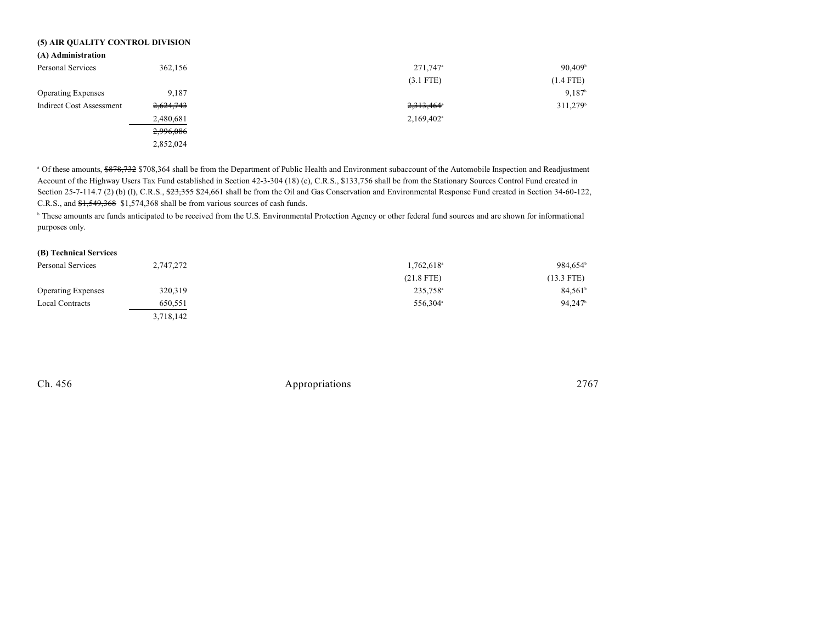## **(5) AIR QUALITY CONTROL DIVISION**

| (A) Administration |  |  |  |
|--------------------|--|--|--|
|                    |  |  |  |
|                    |  |  |  |

| Personal Services         | 362,156   | 271,747 <sup>a</sup>   | $90,409^{\circ}$       |
|---------------------------|-----------|------------------------|------------------------|
|                           |           | $(3.1$ FTE)            | $(1.4$ FTE)            |
| <b>Operating Expenses</b> | 9.187     |                        | $9.187$ <sup>b</sup>   |
| Indirect Cost Assessment  | 2,624,743 | 2,313,464*             | $311,279$ <sup>b</sup> |
|                           | 2,480,681 | 2,169,402 <sup>a</sup> |                        |
|                           | 2,996,086 |                        |                        |
|                           | 2,852,024 |                        |                        |

<sup>a</sup> Of these amounts, \$878,732 \$708,364 shall be from the Department of Public Health and Environment subaccount of the Automobile Inspection and Readjustment Account of the Highway Users Tax Fund established in Section 42-3-304 (18) (c), C.R.S., \$133,756 shall be from the Stationary Sources Control Fund created in Section 25-7-114.7 (2) (b) (I), C.R.S.,  $\frac{623,355}{24,661}$  shall be from the Oil and Gas Conservation and Environmental Response Fund created in Section 34-60-122, C.R.S., and \$1,549,368 \$1,574,368 shall be from various sources of cash funds.

<sup>b</sup> These amounts are funds anticipated to be received from the U.S. Environmental Protection Agency or other federal fund sources and are shown for informational purposes only.

## **(B) Technical Services**

| Personal Services         | 2,747,272 | 1.762.618 <sup>a</sup> | 984.654 <sup>b</sup> |
|---------------------------|-----------|------------------------|----------------------|
|                           |           | $(21.8$ FTE)           | $(13.3$ FTE)         |
| <b>Operating Expenses</b> | 320,319   | 235,758 <sup>a</sup>   | $84,561^{\circ}$     |
| <b>Local Contracts</b>    | 650,551   | 556,304 <sup>a</sup>   | 94.247               |
|                           | 3,718,142 |                        |                      |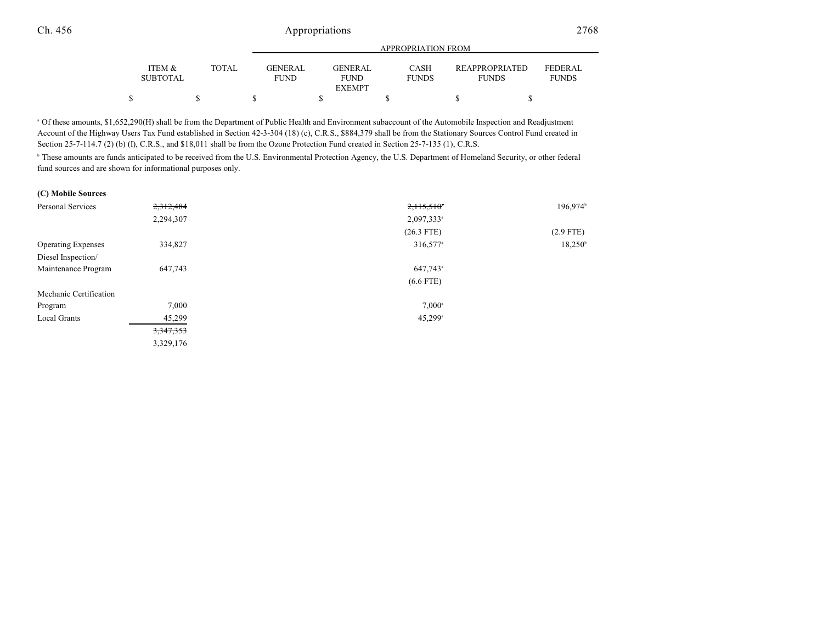|                           |       | APPROPRIATION FROM     |  |                        |  |                             |  |                                       |                                |
|---------------------------|-------|------------------------|--|------------------------|--|-----------------------------|--|---------------------------------------|--------------------------------|
| ITEM &<br><b>SUBTOTAL</b> | TOTAL | GENERAL<br><b>FUND</b> |  | GENERAL<br><b>FUND</b> |  | <b>CASH</b><br><b>FUNDS</b> |  | <b>REAPPROPRIATED</b><br><b>FUNDS</b> | <b>FEDERAL</b><br><b>FUNDS</b> |
|                           |       |                        |  | <b>EXEMPT</b>          |  |                             |  |                                       |                                |
|                           |       |                        |  |                        |  |                             |  |                                       |                                |

 Of these amounts, \$1,652,290(H) shall be from the Department of Public Health and Environment subaccount of the Automobile Inspection and Readjustment <sup>a</sup> Account of the Highway Users Tax Fund established in Section 42-3-304 (18) (c), C.R.S., \$884,379 shall be from the Stationary Sources Control Fund created in Section 25-7-114.7 (2) (b) (I), C.R.S., and \$18,011 shall be from the Ozone Protection Fund created in Section 25-7-135 (1), C.R.S.

<sup>b</sup> These amounts are funds anticipated to be received from the U.S. Environmental Protection Agency, the U.S. Department of Homeland Security, or other federal fund sources and are shown for informational purposes only.

| 2,312,484 | 2,115,510              | $196,974$ <sup>b</sup> |
|-----------|------------------------|------------------------|
| 2,294,307 | 2,097,333 <sup>a</sup> |                        |
|           | $(26.3$ FTE)           | $(2.9$ FTE)            |
| 334,827   | 316,577 <sup>a</sup>   | $18,250^{\circ}$       |
|           |                        |                        |
| 647,743   | 647,743 <sup>a</sup>   |                        |
|           | $(6.6$ FTE)            |                        |
|           |                        |                        |
| 7,000     | $7,000^{\circ}$        |                        |
| 45,299    | $45,299$ <sup>a</sup>  |                        |
| 3,347,353 |                        |                        |
| 3,329,176 |                        |                        |
|           |                        |                        |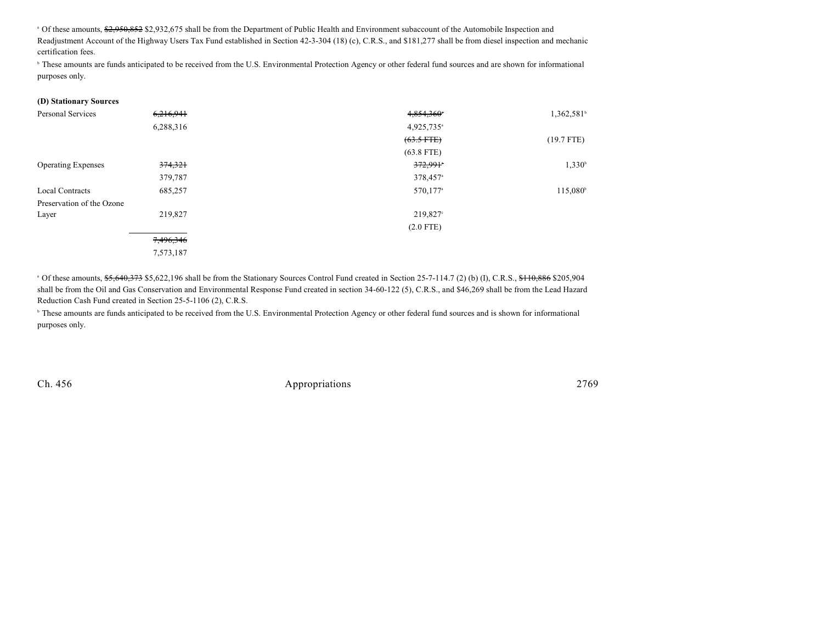<sup>a</sup> Of these amounts, \$2,950,852 \$2,932,675 shall be from the Department of Public Health and Environment subaccount of the Automobile Inspection and Readjustment Account of the Highway Users Tax Fund established in Section 42-3-304 (18) (c), C.R.S., and \$181,277 shall be from diesel inspection and mechanic certification fees.

<sup>b</sup> These amounts are funds anticipated to be received from the U.S. Environmental Protection Agency or other federal fund sources and are shown for informational purposes only.

| (D) Stationary Sources    |           |                        |                     |
|---------------------------|-----------|------------------------|---------------------|
| <b>Personal Services</b>  | 6,216,941 | 4,854,360*             | $1,362,581^{\circ}$ |
|                           | 6,288,316 | 4,925,735 <sup>a</sup> |                     |
|                           |           | $(63.5$ FTE)           | $(19.7$ FTE)        |
|                           |           | $(63.8$ FTE)           |                     |
| <b>Operating Expenses</b> | 374,321   | $372,991$ <sup>*</sup> | $1,330^b$           |
|                           | 379,787   | 378,457 <sup>a</sup>   |                     |
| <b>Local Contracts</b>    | 685,257   | 570,177 <sup>a</sup>   | $115,080^{\circ}$   |
| Preservation of the Ozone |           |                        |                     |
| Layer                     | 219,827   | 219,827 <sup>c</sup>   |                     |
|                           |           | $(2.0$ FTE)            |                     |
|                           | 7,496,346 |                        |                     |
|                           | 7,573,187 |                        |                     |

 Of these amounts, \$5,640,373 \$5,622,196 shall be from the Stationary Sources Control Fund created in Section 25-7-114.7 (2) (b) (I), C.R.S., \$110,886 \$205,904 <sup>a</sup> shall be from the Oil and Gas Conservation and Environmental Response Fund created in section 34-60-122 (5), C.R.S., and \$46,269 shall be from the Lead Hazard Reduction Cash Fund created in Section 25-5-1106 (2), C.R.S.

<sup>b</sup> These amounts are funds anticipated to be received from the U.S. Environmental Protection Agency or other federal fund sources and is shown for informational purposes only.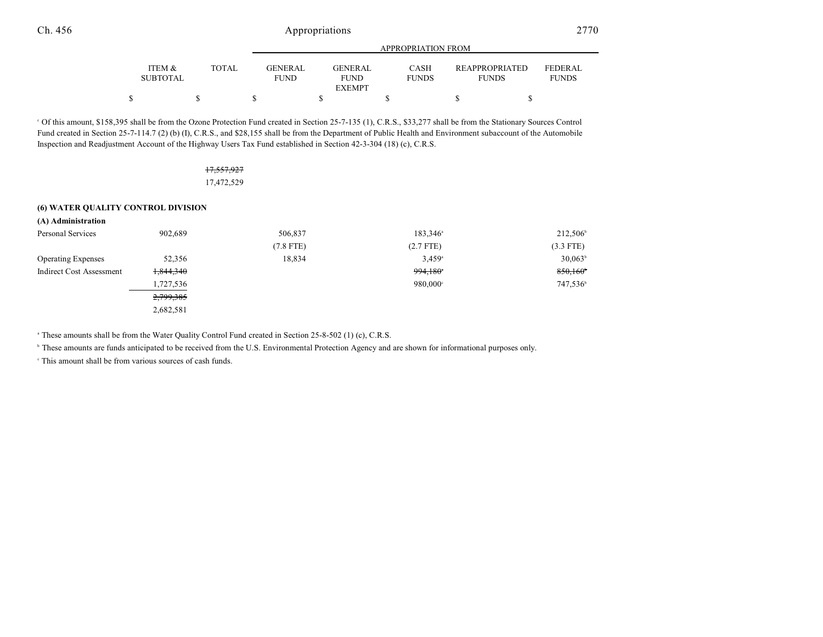|                 |       |                | APPROPRIATION FROM           |              |                       |                |
|-----------------|-------|----------------|------------------------------|--------------|-----------------------|----------------|
| ITEM &          | TOTAL | <b>GENERAL</b> | <b>GENERAL</b>               | <b>CASH</b>  | <b>REAPPROPRIATED</b> | <b>FEDERAL</b> |
| <b>SUBTOTAL</b> |       | <b>FUND</b>    | <b>FUND</b><br><b>EXEMPT</b> | <b>FUNDS</b> | <b>FUNDS</b>          | <b>FUNDS</b>   |
|                 |       |                |                              |              |                       |                |

 Of this amount, \$158,395 shall be from the Ozone Protection Fund created in Section 25-7-135 (1), C.R.S., \$33,277 shall be from the Stationary Sources Control <sup>c</sup> Fund created in Section 25-7-114.7 (2) (b) (I), C.R.S., and \$28,155 shall be from the Department of Public Health and Environment subaccount of the Automobile Inspection and Readjustment Account of the Highway Users Tax Fund established in Section 42-3-304 (18) (c), C.R.S.

| <del>17,557,927</del> |  |
|-----------------------|--|
| 17,472,529            |  |

#### **(6) WATER QUALITY CONTROL DIVISION**

| (A) Administration        |           |             |                      |                      |
|---------------------------|-----------|-------------|----------------------|----------------------|
| Personal Services         | 902.689   | 506,837     | $183,346^{\circ}$    | $212,506^{\circ}$    |
|                           |           | $(7.8$ FTE) | $(2.7$ FTE)          | $(3.3$ FTE)          |
| <b>Operating Expenses</b> | 52,356    | 18,834      | $3.459$ <sup>a</sup> | $30,063^{\circ}$     |
| Indirect Cost Assessment  | 1,844,340 |             | 994,180°             | 850,160              |
|                           | 1,727,536 |             | 980,000°             | 747,536 <sup>b</sup> |
|                           | 2,799,385 |             |                      |                      |
|                           | 2,682,581 |             |                      |                      |

<sup>a</sup> These amounts shall be from the Water Quality Control Fund created in Section 25-8-502 (1) (c), C.R.S.

<sup>b</sup> These amounts are funds anticipated to be received from the U.S. Environmental Protection Agency and are shown for informational purposes only.

 $\cdot$  This amount shall be from various sources of cash funds.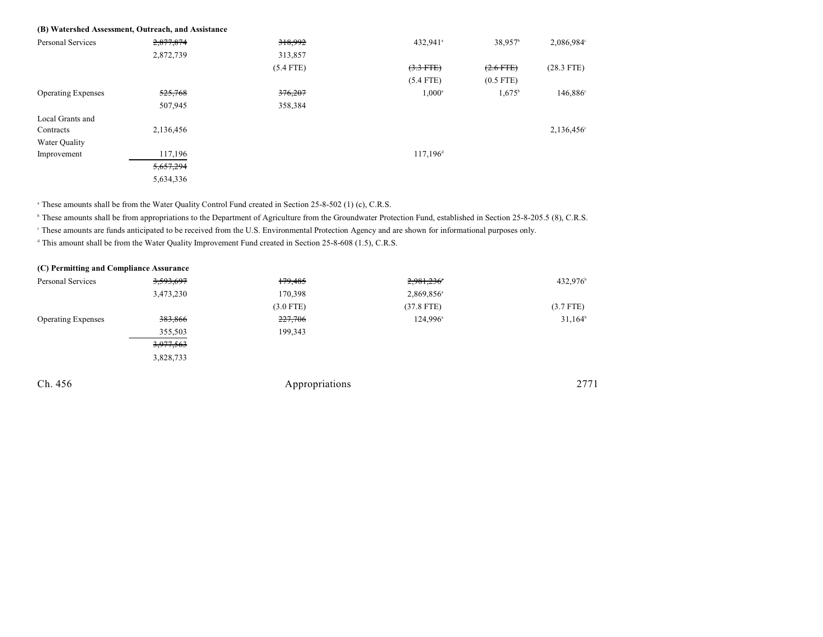|                           | (B) Watershed Assessment, Outreach, and Assistance |             |                      |                     |                      |
|---------------------------|----------------------------------------------------|-------------|----------------------|---------------------|----------------------|
| <b>Personal Services</b>  | 2,877,874                                          | 318,992     | 432,941 <sup>a</sup> | 38,957 <sup>b</sup> | 2,086,984°           |
|                           | 2,872,739                                          | 313,857     |                      |                     |                      |
|                           |                                                    | $(5.4$ FTE) | $(3.3$ FTE)          | $(2.6$ FTE)         | $(28.3$ FTE)         |
|                           |                                                    |             | $(5.4$ FTE)          | $(0.5$ FTE)         |                      |
| <b>Operating Expenses</b> | <del>525,768</del>                                 | 376,207     | $1,000^{\circ}$      | $1,675^{\circ}$     | 146,886 <sup>c</sup> |
|                           | 507,945                                            | 358,384     |                      |                     |                      |
| Local Grants and          |                                                    |             |                      |                     |                      |
| Contracts                 | 2,136,456                                          |             |                      |                     | 2,136,456°           |
| Water Quality             |                                                    |             |                      |                     |                      |
| Improvement               | 117,196                                            |             | $117,196^{\circ}$    |                     |                      |
|                           | 5,657,294                                          |             |                      |                     |                      |
|                           | 5,634,336                                          |             |                      |                     |                      |

<sup>a</sup> These amounts shall be from the Water Quality Control Fund created in Section 25-8-502 (1) (c), C.R.S.

<sup>b</sup> These amounts shall be from appropriations to the Department of Agriculture from the Groundwater Protection Fund, established in Section 25-8-205.5 (8), C.R.S.

These amounts are funds anticipated to be received from the U.S. Environmental Protection Agency and are shown for informational purposes only. <sup>c</sup>

<sup>d</sup> This amount shall be from the Water Quality Improvement Fund created in Section 25-8-608 (1.5), C.R.S.

| (C) Permitting and Compliance Assurance |             |                        |                  |
|-----------------------------------------|-------------|------------------------|------------------|
| <del>3,593,697</del>                    | 179,485     | 2,981,236              | 432,976          |
| 3,473,230                               | 170,398     | 2,869,856 <sup>a</sup> |                  |
|                                         | $(3.0$ FTE) | $(37.8$ FTE)           | $(3.7$ FTE)      |
| 383,866                                 | 227,706     | 124,996 <sup>a</sup>   | $31,164^{\circ}$ |
| 355,503                                 | 199,343     |                        |                  |
| 3,977,563                               |             |                        |                  |
| 3,828,733                               |             |                        |                  |
|                                         |             |                        | 2771             |
|                                         |             | Appropriations         |                  |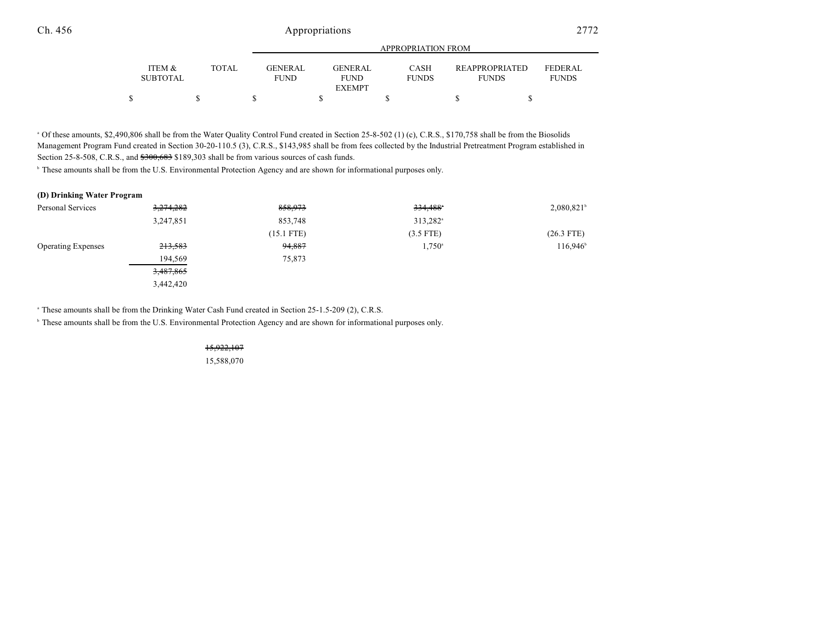|                           |              |                        | APPROPRIATION FROM     |                             |                                       |                                |
|---------------------------|--------------|------------------------|------------------------|-----------------------------|---------------------------------------|--------------------------------|
| ITEM &<br><b>SUBTOTAL</b> | <b>TOTAL</b> | GENERAL<br><b>FUND</b> | GENERAL<br><b>FUND</b> | <b>CASH</b><br><b>FUNDS</b> | <b>REAPPROPRIATED</b><br><b>FUNDS</b> | <b>FEDERAL</b><br><b>FUNDS</b> |
|                           |              |                        | EXEMPT                 |                             |                                       |                                |
|                           |              |                        |                        |                             |                                       |                                |

<sup>a</sup> Of these amounts, \$2,490,806 shall be from the Water Quality Control Fund created in Section 25-8-502 (1) (c), C.R.S., \$170,758 shall be from the Biosolids Management Program Fund created in Section 30-20-110.5 (3), C.R.S., \$143,985 shall be from fees collected by the Industrial Pretreatment Program established in Section 25-8-508, C.R.S., and  $$300,683$  \$189,303 shall be from various sources of cash funds.

<sup>b</sup> These amounts shall be from the U.S. Environmental Protection Agency and are shown for informational purposes only.

#### **(D) Drinking Water Program**

| Personal Services         | 3,274,282 | 858,973      | $334,488$ <sup>*</sup> | $2,080,821$ <sup>b</sup> |
|---------------------------|-----------|--------------|------------------------|--------------------------|
|                           | 3,247,851 | 853,748      | 313,282 <sup>a</sup>   |                          |
|                           |           | $(15.1$ FTE) | $(3.5$ FTE)            | $(26.3$ FTE)             |
| <b>Operating Expenses</b> | 213,583   | 94,887       | $1,750^{\circ}$        | $116,946^{\circ}$        |
|                           | 194,569   | 75,873       |                        |                          |
|                           | 3,487,865 |              |                        |                          |
|                           | 3,442,420 |              |                        |                          |

<sup>a</sup> These amounts shall be from the Drinking Water Cash Fund created in Section 25-1.5-209 (2), C.R.S.

<sup>b</sup> These amounts shall be from the U.S. Environmental Protection Agency and are shown for informational purposes only.

#### 15,922,107

15,588,070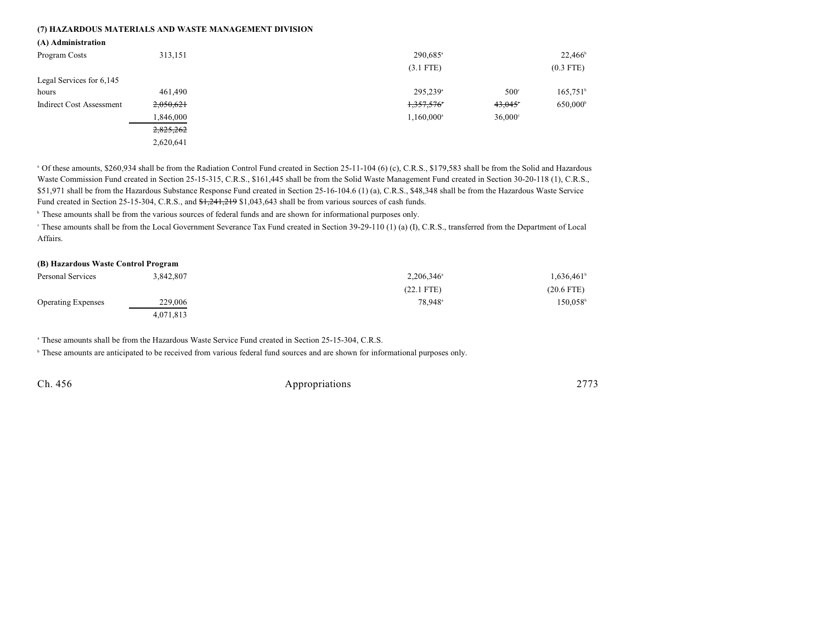#### **(7) HAZARDOUS MATERIALS AND WASTE MANAGEMENT DIVISION**

| (A) Administration              |           |                                            |                                       |
|---------------------------------|-----------|--------------------------------------------|---------------------------------------|
| Program Costs                   | 313,151   | 290,685 <sup>a</sup>                       | $22,466^{\circ}$                      |
|                                 |           | $(3.1$ FTE)                                | $(0.3$ FTE)                           |
| Legal Services for 6,145        |           |                                            |                                       |
| hours                           | 461,490   | 295.239 <sup>a</sup>                       | $165,751$ <sup>b</sup><br>$500^\circ$ |
| <b>Indirect Cost Assessment</b> | 2,050,621 | 1,357,576<br>43,045                        | 650,000 <sup>b</sup>                  |
|                                 | 1,846,000 | 1,160,000 <sup>a</sup><br>$36,000^{\circ}$ |                                       |
|                                 | 2,825,262 |                                            |                                       |
|                                 | 2,620,641 |                                            |                                       |

<sup>a</sup> Of these amounts, \$260,934 shall be from the Radiation Control Fund created in Section 25-11-104 (6) (c), C.R.S., \$179,583 shall be from the Solid and Hazardous Waste Commission Fund created in Section 25-15-315, C.R.S., \$161,445 shall be from the Solid Waste Management Fund created in Section 30-20-118 (1), C.R.S., \$51,971 shall be from the Hazardous Substance Response Fund created in Section 25-16-104.6 (1) (a), C.R.S., \$48,348 shall be from the Hazardous Waste Service Fund created in Section 25-15-304, C.R.S., and  $\frac{1}{241,241,219}$  \$1,043,643 shall be from various sources of cash funds.

<sup>b</sup> These amounts shall be from the various sources of federal funds and are shown for informational purposes only.

<sup>c</sup> These amounts shall be from the Local Government Severance Tax Fund created in Section 39-29-110 (1) (a) (I), C.R.S., transferred from the Department of Local Affairs.

# **(B) Hazardous Waste Control Program** Personal Services  $3,842,807$   $2,206,346^{\circ}$   $1,636,461^{\circ}$   $1,636,461^{\circ}$

|                           |           | $(22.1$ FTE)        | $(20.6$ FTE)           |
|---------------------------|-----------|---------------------|------------------------|
| <b>Operating Expenses</b> | 229,006   | 78,948 <sup>a</sup> | $150.058$ <sup>t</sup> |
|                           | 4,071,813 |                     |                        |

<sup>a</sup> These amounts shall be from the Hazardous Waste Service Fund created in Section 25-15-304, C.R.S.

<sup>b</sup> These amounts are anticipated to be received from various federal fund sources and are shown for informational purposes only.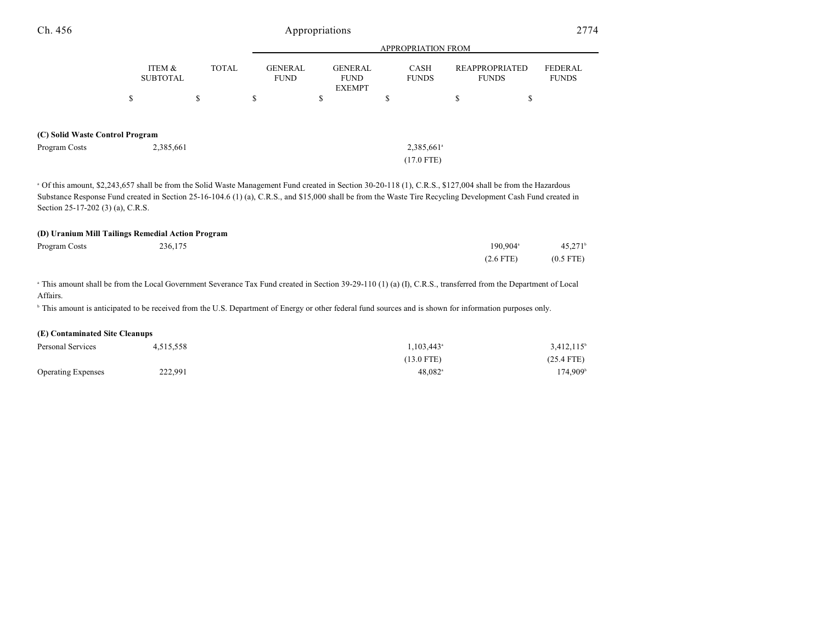#### **(C) Solid Waste Control Program**

Program Costs 2,385,661 2,385,661 2,385,661 2,385,661 2,385,661 2,385,661 2,385,661 2,385,661 2,385,661 2,385,661 2,385,661 2,385,661 2,586 2,586 2,586 2,586 2,586 2,586 2,586 2,586 2,586 2,586 2,586 2,586 2,586 2,586 2,58

<sup>a</sup> Of this amount, \$2,243,657 shall be from the Solid Waste Management Fund created in Section 30-20-118 (1), C.R.S., \$127,004 shall be from the Hazardous Substance Response Fund created in Section 25-16-104.6 (1) (a), C.R.S., and \$15,000 shall be from the Waste Tire Recycling Development Cash Fund created in Section 25-17-202 (3) (a), C.R.S.

(17.0 FTE)

#### **(D) Uranium Mill Tailings Remedial Action Program**

| Program Costs | 236,175 | 190.904 <sup>a</sup> | $45.271$ <sup>b</sup> |
|---------------|---------|----------------------|-----------------------|
|               |         | $(2.6$ FTE)          | $(0.5$ FTE)           |

<sup>a</sup> This amount shall be from the Local Government Severance Tax Fund created in Section 39-29-110 (1) (a) (I), C.R.S., transferred from the Department of Local Affairs.

<sup>b</sup> This amount is anticipated to be received from the U.S. Department of Energy or other federal fund sources and is shown for information purposes only.

#### **(E) Contaminated Site Cleanups**

| Personal Services         | 4,515,558 | $1,103,443$ <sup>a</sup> | $3,412,115$ <sup>b</sup> |
|---------------------------|-----------|--------------------------|--------------------------|
|                           |           | $(13.0$ FTE)             | $(25.4$ FTE)             |
| <b>Operating Expenses</b> | 222,991   | $48.082$ <sup>a</sup>    | 174,909 <sup>b</sup>     |

FEDERAL FUNDS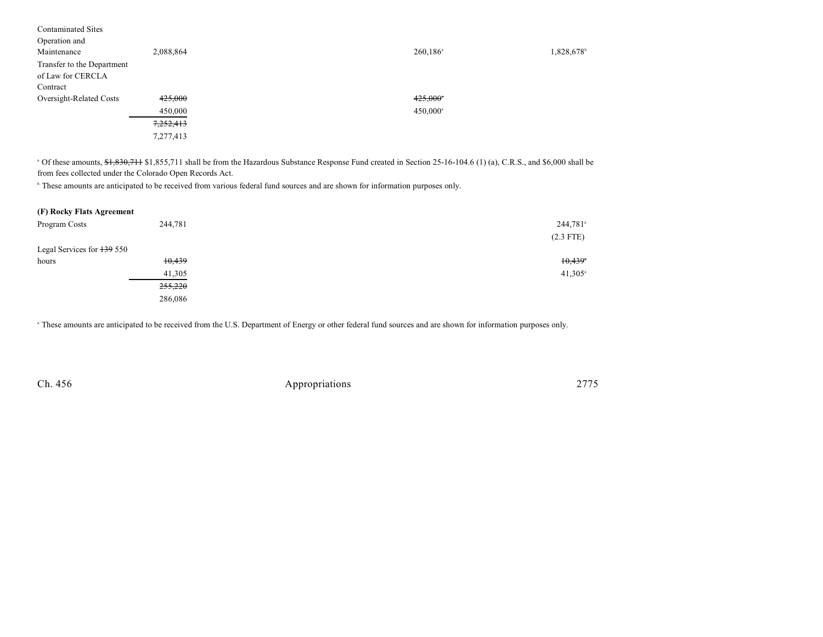| <b>Contaminated Sites</b>  |           |                        |           |
|----------------------------|-----------|------------------------|-----------|
| Operation and              |           |                        |           |
| Maintenance                | 2,088,864 | $260,186$ <sup>a</sup> | 1,828,678 |
| Transfer to the Department |           |                        |           |
| of Law for CERCLA          |           |                        |           |
| Contract                   |           |                        |           |
| Oversight-Related Costs    | 425,000   | $425,000$ <sup>*</sup> |           |
|                            | 450,000   | 450,000 <sup>a</sup>   |           |
|                            | 7,252,413 |                        |           |
|                            | 7,277,413 |                        |           |

 $\degree$  Of these amounts,  $\frac{1}{2}, \frac{1}{2}, \frac{1}{2}, \frac{1}{2}, \frac{1}{2}, \frac{1}{2}$  shall be from the Hazardous Substance Response Fund created in Section 25-16-104.6 (1) (a), C.R.S., and \$6,000 shall be from fees collected under the Colorado Open Records Act.

<sup>b</sup> These amounts are anticipated to be received from various federal fund sources and are shown for information purposes only.

| (F) Rocky Flats Agreement  |                    |                      |
|----------------------------|--------------------|----------------------|
| Program Costs              | 244,781            | 244,781 <sup>a</sup> |
|                            |                    | $(2.3$ FTE)          |
| Legal Services for 139 550 |                    |                      |
| hours                      | 10,439             | 10,439               |
|                            | 41,305             | $41,305^{\circ}$     |
|                            | <del>255,220</del> |                      |
|                            | 286,086            |                      |

These amounts are anticipated to be received from the U.S. Department of Energy or other federal fund sources and are shown for information purposes only. <sup>a</sup>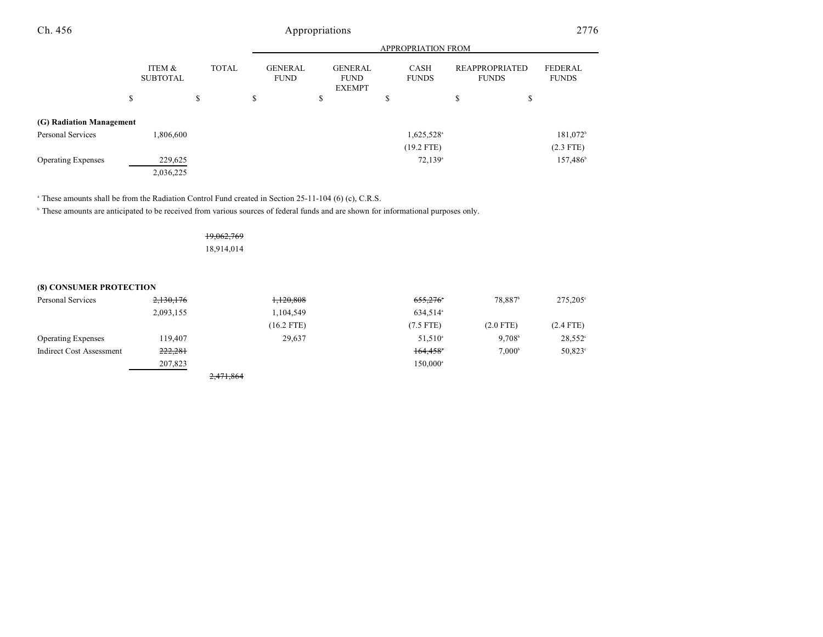|                           |                           |              |                               |                                                | <b>APPROPRIATION FROM</b>   |                                |                                |
|---------------------------|---------------------------|--------------|-------------------------------|------------------------------------------------|-----------------------------|--------------------------------|--------------------------------|
|                           | ITEM &<br><b>SUBTOTAL</b> | <b>TOTAL</b> | <b>GENERAL</b><br><b>FUND</b> | <b>GENERAL</b><br><b>FUND</b><br><b>EXEMPT</b> | <b>CASH</b><br><b>FUNDS</b> | REAPPROPRIATED<br><b>FUNDS</b> | <b>FEDERAL</b><br><b>FUNDS</b> |
|                           | \$                        | \$           | \$                            | \$                                             | \$                          | \$<br>\$                       |                                |
| (G) Radiation Management  |                           |              |                               |                                                |                             |                                |                                |
| Personal Services         | 1,806,600                 |              |                               |                                                | 1,625,528 <sup>a</sup>      |                                | 181,072 <sup>b</sup>           |
|                           |                           |              |                               |                                                | $(19.2$ FTE)                |                                | $(2.3$ FTE)                    |
| <b>Operating Expenses</b> | 229,625                   |              |                               |                                                | $72,139$ <sup>a</sup>       |                                | 157,486 <sup>b</sup>           |
|                           | 2,036,225                 |              |                               |                                                |                             |                                |                                |

<sup>a</sup> These amounts shall be from the Radiation Control Fund created in Section 25-11-104 (6) (c), C.R.S.

<sup>b</sup> These amounts are anticipated to be received from various sources of federal funds and are shown for informational purposes only.

19,062,769 18,914,014

## **(8) CONSUMER PROTECTION**

| Personal Services         | 2,130,176 | 1,120,808    | 655,276                | 78.887 <sup>b</sup> | $275.205^{\circ}$ |
|---------------------------|-----------|--------------|------------------------|---------------------|-------------------|
|                           | 2,093,155 | 1,104,549    | 634.514 <sup>a</sup>   |                     |                   |
|                           |           | $(16.2$ FTE) | $(7.5$ FTE)            | $(2.0$ FTE)         | $(2.4$ FTE)       |
| <b>Operating Expenses</b> | 119.407   | 29.637       | 51,510 <sup>a</sup>    | 9.708 <sup>b</sup>  | $28,552^{\circ}$  |
| Indirect Cost Assessment  | 222,281   |              | $164,458$ <sup>*</sup> | 7.000 <sup>b</sup>  | $50,823^{\circ}$  |
|                           | 207,823   |              | 150.000 <sup>a</sup>   |                     |                   |
|                           |           | 2,471,864    |                        |                     |                   |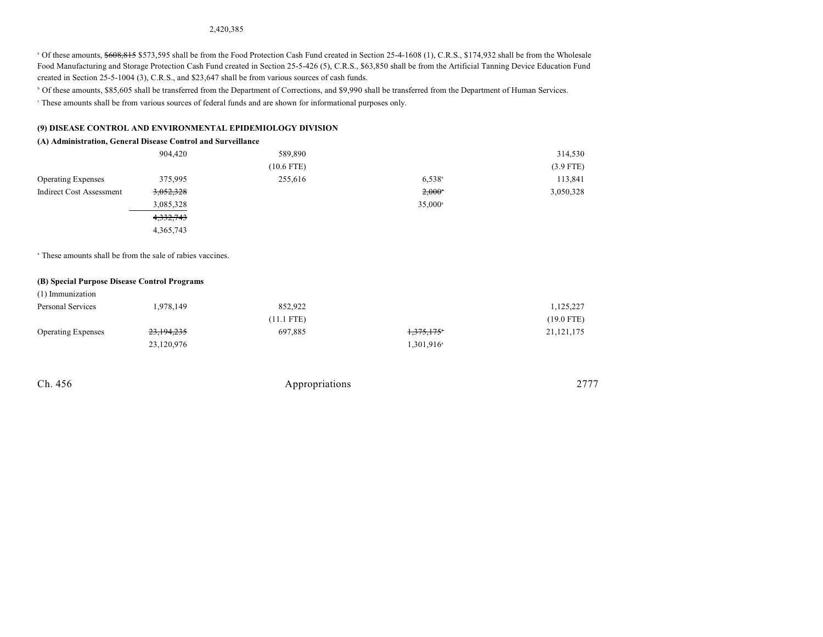#### 2,420,385

<sup>a</sup> Of these amounts, \$608,815 \$573,595 shall be from the Food Protection Cash Fund created in Section 25-4-1608 (1), C.R.S., \$174,932 shall be from the Wholesale Food Manufacturing and Storage Protection Cash Fund created in Section 25-5-426 (5), C.R.S., \$63,850 shall be from the Artificial Tanning Device Education Fund created in Section 25-5-1004 (3), C.R.S., and \$23,647 shall be from various sources of cash funds.

<sup>b</sup> Of these amounts, \$85,605 shall be transferred from the Department of Corrections, and \$9,990 shall be transferred from the Department of Human Services.

These amounts shall be from various sources of federal funds and are shown for informational purposes only. <sup>c</sup>

#### **(9) DISEASE CONTROL AND ENVIRONMENTAL EPIDEMIOLOGY DIVISION**

#### **(A) Administration, General Disease Control and Surveillance**

|                           | 904,420     | 589,890      |                  | 314,530     |
|---------------------------|-------------|--------------|------------------|-------------|
|                           |             | $(10.6$ FTE) |                  | $(3.9$ FTE) |
| <b>Operating Expenses</b> | 375,995     | 255,616      | $6,538^{\circ}$  | 113,841     |
| Indirect Cost Assessment  | 3,052,328   |              | $2,000^{\circ}$  | 3,050,328   |
|                           | 3,085,328   |              | $35,000^{\circ}$ |             |
|                           | 4, 332, 743 |              |                  |             |
|                           | 4,365,743   |              |                  |             |

<sup>a</sup> These amounts shall be from the sale of rabies vaccines.

#### **(B) Special Purpose Disease Control Programs**

| (1) Immunization          |            |              |                        |              |
|---------------------------|------------|--------------|------------------------|--------------|
| Personal Services         | 1,978,149  | 852.922      |                        | 1,125,227    |
|                           |            | $(11.1$ FTE) |                        | $(19.0$ FTE) |
| <b>Operating Expenses</b> | 23,194,235 | 697,885      | <del>1,375,175</del> * | 21, 121, 175 |
|                           | 23,120,976 |              | 1,301,916 <sup>a</sup> |              |

| Appropriations | 2777 |
|----------------|------|
|                |      |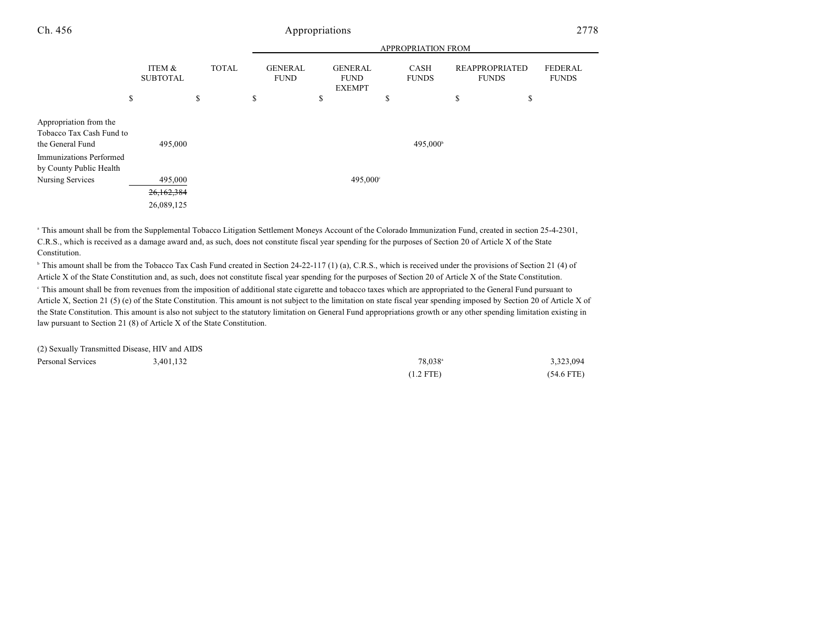|                                                                                                                                     |                           |              |                               |                                                | <b>APPROPRIATION FROM</b> |                                       |                                |
|-------------------------------------------------------------------------------------------------------------------------------------|---------------------------|--------------|-------------------------------|------------------------------------------------|---------------------------|---------------------------------------|--------------------------------|
|                                                                                                                                     | ITEM &<br><b>SUBTOTAL</b> | <b>TOTAL</b> | <b>GENERAL</b><br><b>FUND</b> | <b>GENERAL</b><br><b>FUND</b><br><b>EXEMPT</b> | CASH<br><b>FUNDS</b>      | <b>REAPPROPRIATED</b><br><b>FUNDS</b> | <b>FEDERAL</b><br><b>FUNDS</b> |
|                                                                                                                                     | \$                        | \$           | \$                            | \$                                             | \$                        | \$<br>\$                              |                                |
| Appropriation from the<br>Tobacco Tax Cash Fund to<br>the General Fund<br><b>Immunizations Performed</b><br>by County Public Health | 495,000                   |              |                               |                                                | 495,000 <sup>b</sup>      |                                       |                                |
| Nursing Services                                                                                                                    | 495,000                   |              |                               | 495,000°                                       |                           |                                       |                                |
|                                                                                                                                     | 26,162,384                |              |                               |                                                |                           |                                       |                                |
|                                                                                                                                     | 26,089,125                |              |                               |                                                |                           |                                       |                                |

<sup>a</sup> This amount shall be from the Supplemental Tobacco Litigation Settlement Moneys Account of the Colorado Immunization Fund, created in section 25-4-2301, C.R.S., which is received as a damage award and, as such, does not constitute fiscal year spending for the purposes of Section 20 of Article X of the State Constitution.

<sup>b</sup> This amount shall be from the Tobacco Tax Cash Fund created in Section 24-22-117 (1) (a), C.R.S., which is received under the provisions of Section 21 (4) of Article X of the State Constitution and, as such, does not constitute fiscal year spending for the purposes of Section 20 of Article X of the State Constitution. This amount shall be from revenues from the imposition of additional state cigarette and tobacco taxes which are appropriated to the General Fund pursuant to Article X, Section 21 (5) (e) of the State Constitution. This amount is not subject to the limitation on state fiscal year spending imposed by Section 20 of Article X of the State Constitution. This amount is also not subject to the statutory limitation on General Fund appropriations growth or any other spending limitation existing in law pursuant to Section 21 (8) of Article X of the State Constitution.

| (2) Sexually Transmitted Disease, HIV and AIDS |           |                     |              |
|------------------------------------------------|-----------|---------------------|--------------|
| Personal Services                              | 3.401.132 | 78.038 <sup>a</sup> | 3,323,094    |
|                                                |           | $(1.2$ FTE)         | $(54.6$ FTE) |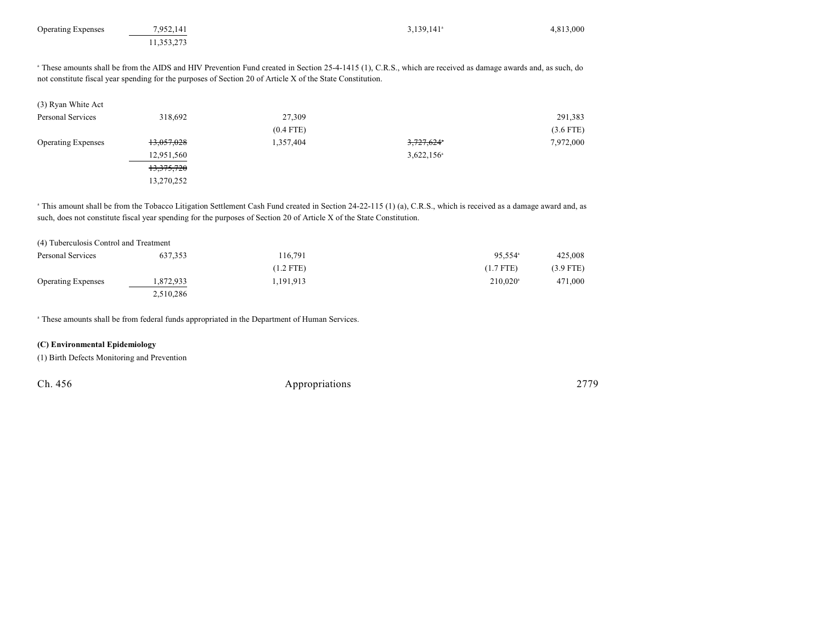| 7,952,141  |             | $3,139,141$ <sup>a</sup> | 4,813,000                                                                                                                                                                                                                                                                              |
|------------|-------------|--------------------------|----------------------------------------------------------------------------------------------------------------------------------------------------------------------------------------------------------------------------------------------------------------------------------------|
| 11,353,273 |             |                          |                                                                                                                                                                                                                                                                                        |
|            |             |                          |                                                                                                                                                                                                                                                                                        |
|            |             |                          |                                                                                                                                                                                                                                                                                        |
| 318,692    | 27,309      |                          | 291,383                                                                                                                                                                                                                                                                                |
|            | $(0.4$ FTE) |                          | $(3.6$ FTE)                                                                                                                                                                                                                                                                            |
| 13,057,028 | 1,357,404   | 3,727,624*               | 7,972,000                                                                                                                                                                                                                                                                              |
| 12,951,560 |             | $3,622,156$ <sup>a</sup> |                                                                                                                                                                                                                                                                                        |
| 13,375,720 |             |                          |                                                                                                                                                                                                                                                                                        |
| 13,270,252 |             |                          |                                                                                                                                                                                                                                                                                        |
|            |             |                          | <sup>a</sup> These amounts shall be from the AIDS and HIV Prevention Fund created in Section 25-4-1415 (1), C.R.S., which are received as damage awards and, as such, do<br>not constitute fiscal year spending for the purposes of Section 20 of Article X of the State Constitution. |

<sup>a</sup> This amount shall be from the Tobacco Litigation Settlement Cash Fund created in Section 24-22-115 (1) (a), C.R.S., which is received as a damage award and, as such, does not constitute fiscal year spending for the purposes of Section 20 of Article X of the State Constitution.

| (4) Tuberculosis Control and Treatment |           |             |                        |             |
|----------------------------------------|-----------|-------------|------------------------|-------------|
| Personal Services                      | 637, 353  | 116.791     | $95.554$ <sup>a</sup>  | 425,008     |
|                                        |           | $(1.2$ FTE) | $(1.7$ FTE)            | $(3.9$ FTE) |
| <b>Operating Expenses</b>              | .872,933  | 1.191.913   | $210.020$ <sup>a</sup> | 471,000     |
|                                        | 2.510.286 |             |                        |             |

<sup>a</sup> These amounts shall be from federal funds appropriated in the Department of Human Services.

#### **(C) Environmental Epidemiology**

(1) Birth Defects Monitoring and Prevention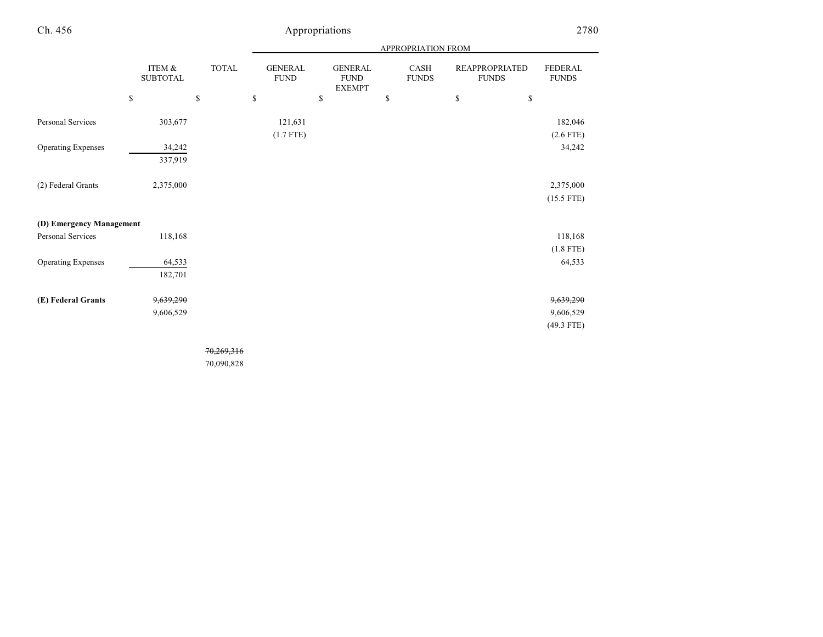|--|

|                           | ITEM &<br><b>SUBTOTAL</b> | <b>TOTAL</b> | <b>GENERAL</b><br>${\rm FUND}$ |              | <b>GENERAL</b><br><b>FUND</b><br><b>EXEMPT</b> | CASH<br><b>FUNDS</b> | <b>REAPPROPRIATED</b><br><b>FUNDS</b> | <b>FEDERAL</b><br><b>FUNDS</b> |
|---------------------------|---------------------------|--------------|--------------------------------|--------------|------------------------------------------------|----------------------|---------------------------------------|--------------------------------|
|                           | \$                        | \$           | \$                             | $\mathbb{S}$ |                                                | \$                   | \$                                    | \$                             |
| Personal Services         | 303,677                   |              | 121,631                        |              |                                                |                      |                                       | 182,046                        |
|                           |                           |              | $(1.7$ FTE)                    |              |                                                |                      |                                       | $(2.6$ FTE)                    |
| <b>Operating Expenses</b> | 34,242                    |              |                                |              |                                                |                      |                                       | 34,242                         |
|                           | 337,919                   |              |                                |              |                                                |                      |                                       |                                |
|                           |                           |              |                                |              |                                                |                      |                                       |                                |
| (2) Federal Grants        | 2,375,000                 |              |                                |              |                                                |                      |                                       | 2,375,000                      |
|                           |                           |              |                                |              |                                                |                      |                                       | $(15.5$ FTE)                   |
|                           |                           |              |                                |              |                                                |                      |                                       |                                |
| (D) Emergency Management  |                           |              |                                |              |                                                |                      |                                       |                                |
| Personal Services         | 118,168                   |              |                                |              |                                                |                      |                                       | 118,168                        |
|                           |                           |              |                                |              |                                                |                      |                                       | $(1.8$ FTE)                    |
| <b>Operating Expenses</b> | 64,533                    |              |                                |              |                                                |                      |                                       | 64,533                         |
|                           | 182,701                   |              |                                |              |                                                |                      |                                       |                                |
|                           |                           |              |                                |              |                                                |                      |                                       |                                |
| (E) Federal Grants        | 9,639,290                 |              |                                |              |                                                |                      |                                       | <del>9,639,290</del>           |
|                           | 9,606,529                 |              |                                |              |                                                |                      |                                       | 9,606,529                      |
|                           |                           |              |                                |              |                                                |                      |                                       | $(49.3$ FTE)                   |
|                           |                           |              |                                |              |                                                |                      |                                       |                                |

70,269,316

70,090,828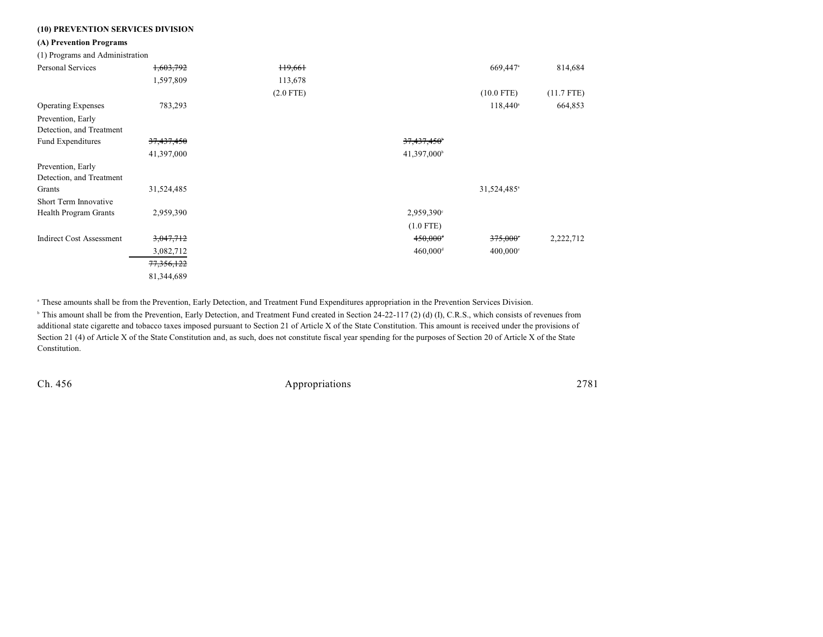## **(10) PREVENTION SERVICES DIVISION**

#### **(A) Prevention Programs**

(1) Programs and Administration

| $\ldots$                        |            |                     |                         |                         |              |
|---------------------------------|------------|---------------------|-------------------------|-------------------------|--------------|
| Personal Services               | 1,603,792  | H <sub>9</sub> ,661 |                         | 669,447 <sup>a</sup>    | 814,684      |
|                                 | 1,597,809  | 113,678             |                         |                         |              |
|                                 |            | $(2.0$ FTE)         |                         | $(10.0$ FTE)            | $(11.7$ FTE) |
| <b>Operating Expenses</b>       | 783,293    |                     |                         | $118,440^{\circ}$       | 664,853      |
| Prevention, Early               |            |                     |                         |                         |              |
| Detection, and Treatment        |            |                     |                         |                         |              |
| Fund Expenditures               | 37,437,450 |                     | 37,437,450 <sup>b</sup> |                         |              |
|                                 | 41,397,000 |                     | 41,397,000 <sup>b</sup> |                         |              |
| Prevention, Early               |            |                     |                         |                         |              |
| Detection, and Treatment        |            |                     |                         |                         |              |
| Grants                          | 31,524,485 |                     |                         | 31,524,485 <sup>a</sup> |              |
| Short Term Innovative           |            |                     |                         |                         |              |
| Health Program Grants           | 2,959,390  |                     | 2,959,390°              |                         |              |
|                                 |            |                     | $(1.0$ FTE)             |                         |              |
| <b>Indirect Cost Assessment</b> | 3,047,712  |                     | $450,000$ <sup>+</sup>  | 375,000°                | 2,222,712    |
|                                 | 3,082,712  |                     | $460,000$ <sup>d</sup>  | $400,000$ °             |              |
|                                 | 77,356,122 |                     |                         |                         |              |
|                                 | 81,344,689 |                     |                         |                         |              |

These amounts shall be from the Prevention, Early Detection, and Treatment Fund Expenditures appropriation in the Prevention Services Division. <sup>a</sup>

<sup>b</sup> This amount shall be from the Prevention, Early Detection, and Treatment Fund created in Section 24-22-117 (2) (d) (I), C.R.S., which consists of revenues from additional state cigarette and tobacco taxes imposed pursuant to Section 21 of Article X of the State Constitution. This amount is received under the provisions of Section 21 (4) of Article X of the State Constitution and, as such, does not constitute fiscal year spending for the purposes of Section 20 of Article X of the State Constitution.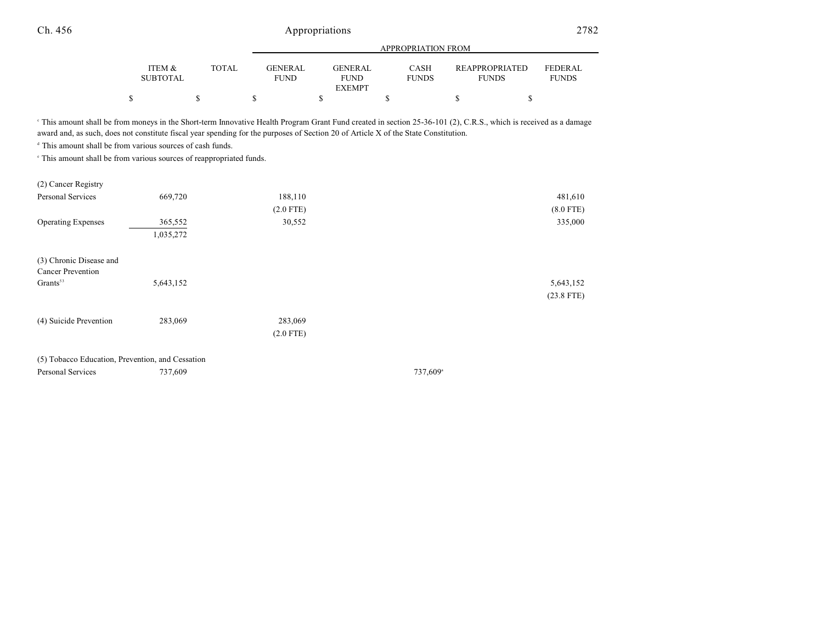|                           |        |                               | APPROPRIATION FROM                             |                             |                                       |                                |  |
|---------------------------|--------|-------------------------------|------------------------------------------------|-----------------------------|---------------------------------------|--------------------------------|--|
| ITEM &<br><b>SUBTOTAL</b> | TOTAL. | <b>GENERAL</b><br><b>FUND</b> | <b>GENERAL</b><br><b>FUND</b><br><b>EXEMPT</b> | <b>CASH</b><br><b>FUNDS</b> | <b>REAPPROPRIATED</b><br><b>FUNDS</b> | <b>FEDERAL</b><br><b>FUNDS</b> |  |
| \$                        |        |                               |                                                |                             |                                       |                                |  |

<sup>e</sup> This amount shall be from moneys in the Short-term Innovative Health Program Grant Fund created in section 25-36-101 (2), C.R.S., which is received as a damage award and, as such, does not constitute fiscal year spending for the purposes of Section 20 of Article X of the State Constitution.

 $d$  This amount shall be from various sources of cash funds.

 $\degree$  This amount shall be from various sources of reappropriated funds.

| (2) Cancer Registry                                 |           |             |                      |              |
|-----------------------------------------------------|-----------|-------------|----------------------|--------------|
| Personal Services                                   | 669,720   | 188,110     |                      | 481,610      |
|                                                     |           | $(2.0$ FTE) |                      | $(8.0$ FTE)  |
| <b>Operating Expenses</b>                           | 365,552   | 30,552      |                      | 335,000      |
|                                                     | 1,035,272 |             |                      |              |
| (3) Chronic Disease and<br><b>Cancer Prevention</b> |           |             |                      |              |
| Grants <sup>53</sup>                                | 5,643,152 |             |                      | 5,643,152    |
|                                                     |           |             |                      | $(23.8$ FTE) |
| (4) Suicide Prevention                              | 283,069   | 283,069     |                      |              |
|                                                     |           | $(2.0$ FTE) |                      |              |
| (5) Tobacco Education, Prevention, and Cessation    |           |             |                      |              |
| Personal Services                                   | 737,609   |             | 737,609 <sup>a</sup> |              |
|                                                     |           |             |                      |              |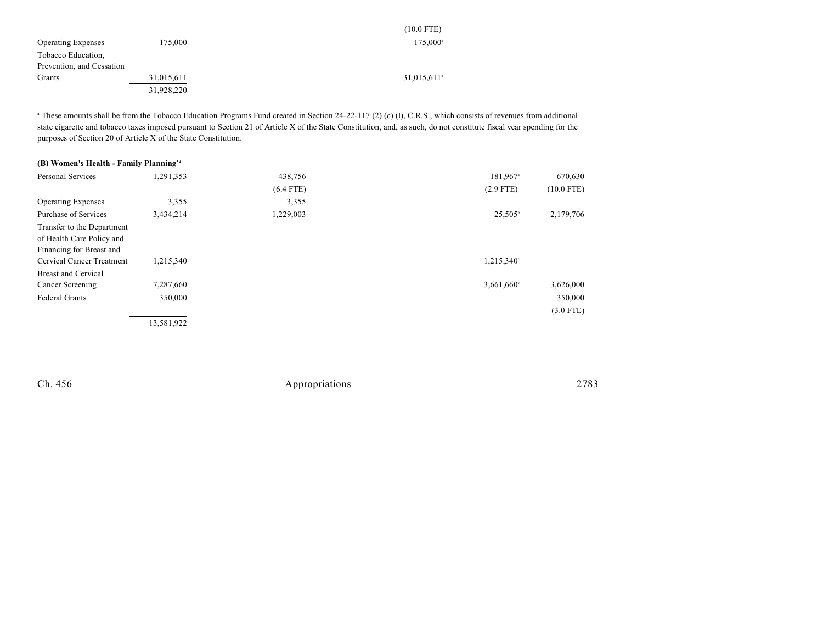|                           |            | $(10.0$ FTE)            |
|---------------------------|------------|-------------------------|
| <b>Operating Expenses</b> | 175,000    | $175.000^{\circ}$       |
| Tobacco Education,        |            |                         |
| Prevention, and Cessation |            |                         |
| Grants                    | 31,015,611 | 31,015,611 <sup>a</sup> |
|                           | 31,928,220 |                         |

<sup>a</sup> These amounts shall be from the Tobacco Education Programs Fund created in Section 24-22-117 (2) (c) (I), C.R.S., which consists of revenues from additional state cigarette and tobacco taxes imposed pursuant to Section 21 of Article X of the State Constitution, and, as such, do not constitute fiscal year spending for the purposes of Section 20 of Article X of the State Constitution.

| (B) Women's Health - Family Planning <sup>54</sup> |            |             |                      |              |
|----------------------------------------------------|------------|-------------|----------------------|--------------|
| <b>Personal Services</b>                           | 1,291,353  | 438,756     | 181,967 <sup>a</sup> | 670,630      |
|                                                    |            | $(6.4$ FTE) | $(2.9$ FTE)          | $(10.0$ FTE) |
| <b>Operating Expenses</b>                          | 3,355      | 3,355       |                      |              |
| Purchase of Services                               | 3,434,214  | 1,229,003   | $25,505^{\circ}$     | 2,179,706    |
| Transfer to the Department                         |            |             |                      |              |
| of Health Care Policy and                          |            |             |                      |              |
| Financing for Breast and                           |            |             |                      |              |
| Cervical Cancer Treatment                          | 1,215,340  |             | 1,215,340°           |              |
| <b>Breast and Cervical</b>                         |            |             |                      |              |
| Cancer Screening                                   | 7,287,660  |             | 3,661,660°           | 3,626,000    |
| <b>Federal Grants</b>                              | 350,000    |             |                      | 350,000      |
|                                                    |            |             |                      | $(3.0$ FTE)  |
|                                                    | 13,581,922 |             |                      |              |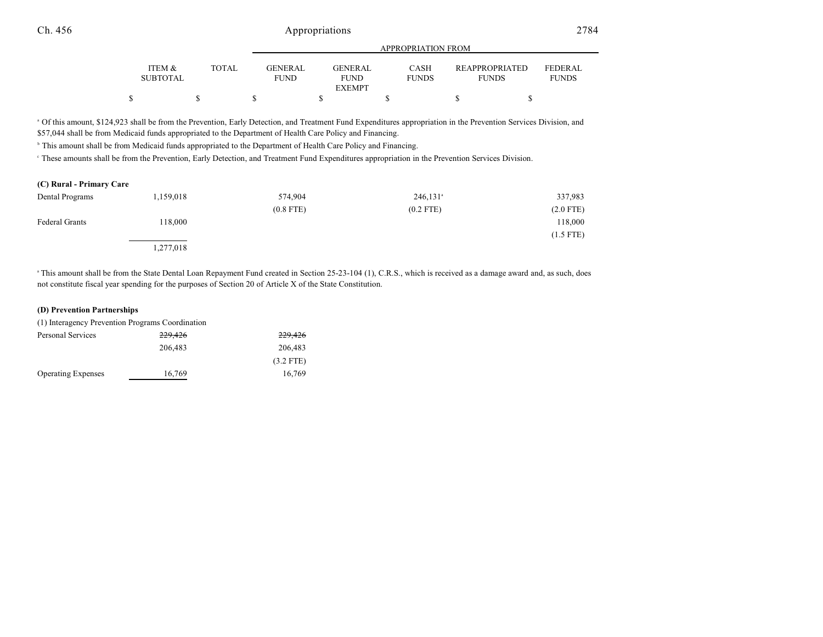|                           |              | APPROPRIATION FROM                                             |                             |  |                                       |                                |
|---------------------------|--------------|----------------------------------------------------------------|-----------------------------|--|---------------------------------------|--------------------------------|
| ITEM &<br><b>SUBTOTAL</b> | <b>TOTAL</b> | <b>GENERAL</b><br><b>GENERAL</b><br><b>FUND</b><br><b>FUND</b> | <b>CASH</b><br><b>FUNDS</b> |  | <b>REAPPROPRIATED</b><br><b>FUNDS</b> | <b>FEDERAL</b><br><b>FUNDS</b> |
|                           |              | <b>EXEMPT</b>                                                  |                             |  |                                       |                                |
|                           |              |                                                                |                             |  |                                       |                                |

<sup>a</sup> Of this amount, \$124,923 shall be from the Prevention, Early Detection, and Treatment Fund Expenditures appropriation in the Prevention Services Division, and \$57,044 shall be from Medicaid funds appropriated to the Department of Health Care Policy and Financing.

<sup>b</sup> This amount shall be from Medicaid funds appropriated to the Department of Health Care Policy and Financing.

These amounts shall be from the Prevention, Early Detection, and Treatment Fund Expenditures appropriation in the Prevention Services Division. <sup>c</sup>

### **(C) Rural - Primary Care**

| Dental Programs       | 1,159,018 | 574,904     | $246,131$ <sup>a</sup> | 337,983     |
|-----------------------|-----------|-------------|------------------------|-------------|
|                       |           | $(0.8$ FTE) | $(0.2$ FTE)            | $(2.0$ FTE) |
| <b>Federal Grants</b> | 118,000   |             |                        | 118,000     |
|                       |           |             |                        | $(1.5$ FTE) |
|                       | 1,277,018 |             |                        |             |

<sup>a</sup> This amount shall be from the State Dental Loan Repayment Fund created in Section 25-23-104 (1), C.R.S., which is received as a damage award and, as such, does not constitute fiscal year spending for the purposes of Section 20 of Article X of the State Constitution.

#### **(D) Prevention Partnerships**

| (1) Interagency Prevention Programs Coordination |         |             |
|--------------------------------------------------|---------|-------------|
| Personal Services                                | 229,426 | 229,426     |
|                                                  | 206,483 | 206,483     |
|                                                  |         | $(3.2$ FTE) |
| <b>Operating Expenses</b>                        | 16,769  | 16.769      |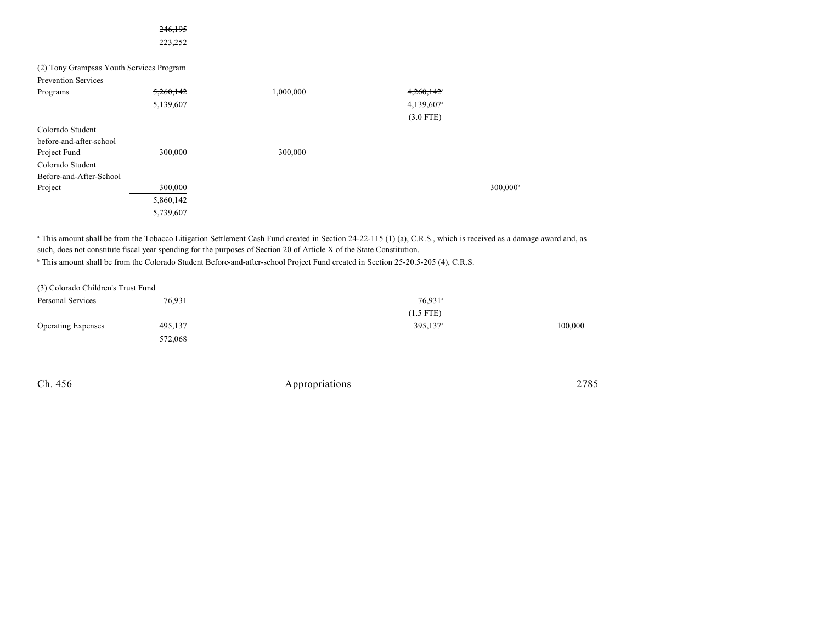|                                          | 223,252   |           |                        |                      |
|------------------------------------------|-----------|-----------|------------------------|----------------------|
| (2) Tony Grampsas Youth Services Program |           |           |                        |                      |
| <b>Prevention Services</b>               |           |           |                        |                      |
| Programs                                 | 5,260,142 | 1,000,000 | 4,260,142              |                      |
|                                          | 5,139,607 |           | 4,139,607 <sup>a</sup> |                      |
|                                          |           |           | $(3.0$ FTE)            |                      |
| Colorado Student                         |           |           |                        |                      |
| before-and-after-school                  |           |           |                        |                      |
| Project Fund                             | 300,000   | 300,000   |                        |                      |
| Colorado Student                         |           |           |                        |                      |
| Before-and-After-School                  |           |           |                        |                      |
| Project                                  | 300,000   |           |                        | 300,000 <sup>b</sup> |
|                                          | 5,860,142 |           |                        |                      |
|                                          | 5,739,607 |           |                        |                      |

<sup>a</sup> This amount shall be from the Tobacco Litigation Settlement Cash Fund created in Section 24-22-115 (1) (a), C.R.S., which is received as a damage award and, as such, does not constitute fiscal year spending for the purposes of Section 20 of Article X of the State Constitution.

<sup>b</sup> This amount shall be from the Colorado Student Before-and-after-school Project Fund created in Section 25-20.5-205 (4), C.R.S.

246,195

| (3) Colorado Children's Trust Fund |         |                      |         |
|------------------------------------|---------|----------------------|---------|
| Personal Services                  | 76,931  | 76,931 <sup>a</sup>  |         |
|                                    |         | $(1.5$ FTE)          |         |
| <b>Operating Expenses</b>          | 495,137 | 395,137 <sup>a</sup> | 100,000 |
|                                    | 572,068 |                      |         |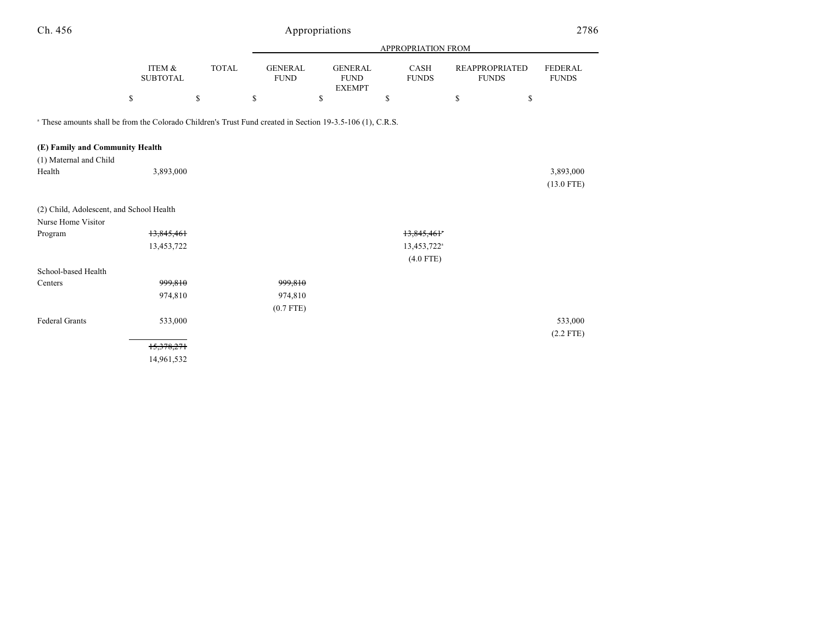| Ch. 456                                                                                                               |                           |              |                               | Appropriations                                 |                         |                                       | 2786                           |
|-----------------------------------------------------------------------------------------------------------------------|---------------------------|--------------|-------------------------------|------------------------------------------------|-------------------------|---------------------------------------|--------------------------------|
|                                                                                                                       |                           |              |                               |                                                | APPROPRIATION FROM      |                                       |                                |
|                                                                                                                       | ITEM &<br><b>SUBTOTAL</b> | <b>TOTAL</b> | <b>GENERAL</b><br><b>FUND</b> | <b>GENERAL</b><br><b>FUND</b><br><b>EXEMPT</b> | CASH<br><b>FUNDS</b>    | <b>REAPPROPRIATED</b><br><b>FUNDS</b> | <b>FEDERAL</b><br><b>FUNDS</b> |
|                                                                                                                       | \$                        | \$           | \$                            | \$                                             | \$                      | \$<br>\$                              |                                |
| <sup>a</sup> These amounts shall be from the Colorado Children's Trust Fund created in Section 19-3.5-106 (1), C.R.S. |                           |              |                               |                                                |                         |                                       |                                |
| (E) Family and Community Health                                                                                       |                           |              |                               |                                                |                         |                                       |                                |
| (1) Maternal and Child                                                                                                |                           |              |                               |                                                |                         |                                       |                                |
| Health                                                                                                                | 3,893,000                 |              |                               |                                                |                         |                                       | 3,893,000                      |
|                                                                                                                       |                           |              |                               |                                                |                         |                                       | $(13.0$ FTE)                   |
| (2) Child, Adolescent, and School Health                                                                              |                           |              |                               |                                                |                         |                                       |                                |
| Nurse Home Visitor                                                                                                    |                           |              |                               |                                                |                         |                                       |                                |
| Program                                                                                                               | 13,845,461                |              |                               |                                                | 13,845,461              |                                       |                                |
|                                                                                                                       | 13,453,722                |              |                               |                                                | 13,453,722 <sup>a</sup> |                                       |                                |
|                                                                                                                       |                           |              |                               |                                                | $(4.0$ FTE)             |                                       |                                |
| School-based Health                                                                                                   |                           |              |                               |                                                |                         |                                       |                                |
| Centers                                                                                                               | 999,810                   |              | 999,810                       |                                                |                         |                                       |                                |
|                                                                                                                       | 974,810                   |              | 974,810                       |                                                |                         |                                       |                                |
|                                                                                                                       |                           |              | $(0.7$ FTE)                   |                                                |                         |                                       |                                |
| <b>Federal Grants</b>                                                                                                 | 533,000                   |              |                               |                                                |                         |                                       | 533,000                        |
|                                                                                                                       |                           |              |                               |                                                |                         |                                       | $(2.2$ FTE)                    |
|                                                                                                                       | 15,378,271                |              |                               |                                                |                         |                                       |                                |
|                                                                                                                       | 14,961,532                |              |                               |                                                |                         |                                       |                                |
|                                                                                                                       |                           |              |                               |                                                |                         |                                       |                                |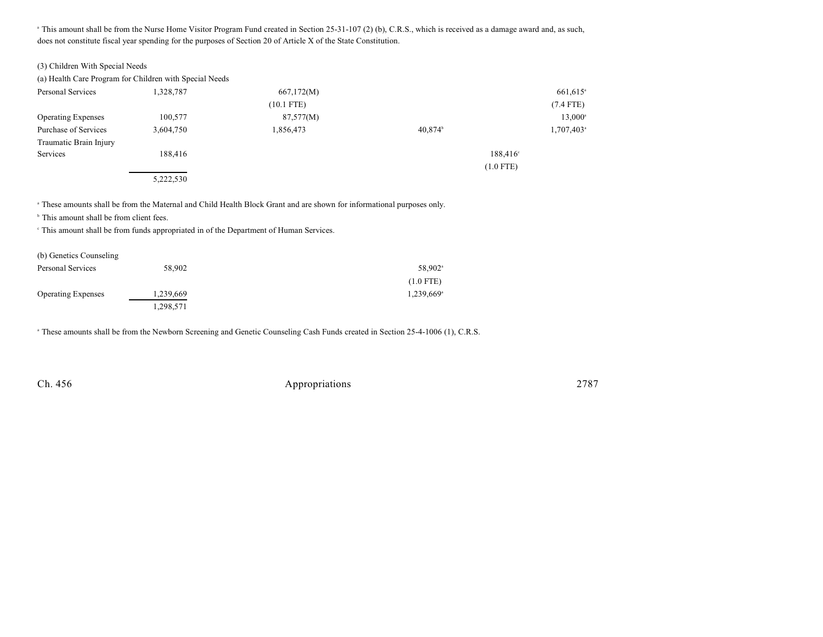<sup>a</sup> This amount shall be from the Nurse Home Visitor Program Fund created in Section 25-31-107 (2) (b), C.R.S., which is received as a damage award and, as such, does not constitute fiscal year spending for the purposes of Section 20 of Article X of the State Constitution.

| (a) Health Care Program for Children with Special Needs |           |              |             |  |
|---------------------------------------------------------|-----------|--------------|-------------|--|
| Personal Services                                       | 1.328.787 | 667,172(M)   | 661.615     |  |
|                                                         |           | $(10.1$ FTE) | $(7.4$ FTE) |  |

|                           |           | $(10.1$ FTE) |                     | $(7.4$ FTE)         |
|---------------------------|-----------|--------------|---------------------|---------------------|
| <b>Operating Expenses</b> | 100,577   | 87,577(M)    |                     | 13,000 <sup>s</sup> |
| Purchase of Services      | 3,604,750 | 1,856,473    | 40,874 <sup>b</sup> | 1,707,403           |
| Traumatic Brain Injury    |           |              |                     |                     |
| Services                  | 188,416   |              |                     | $188,416^{\circ}$   |
|                           |           |              |                     | $(1.0$ FTE)         |
|                           | 5,222,530 |              |                     |                     |

<sup>a</sup> These amounts shall be from the Maternal and Child Health Block Grant and are shown for informational purposes only.

 $b$  This amount shall be from client fees.

This amount shall be from funds appropriated in of the Department of Human Services. <sup>c</sup>

| (b) Genetics Counseling   |           |                          |
|---------------------------|-----------|--------------------------|
| Personal Services         | 58,902    | 58,902 <sup>a</sup>      |
|                           |           | $(1.0$ FTE)              |
| <b>Operating Expenses</b> | 1,239,669 | $1,239,669$ <sup>a</sup> |
|                           | 1,298,571 |                          |

<sup>a</sup> These amounts shall be from the Newborn Screening and Genetic Counseling Cash Funds created in Section 25-4-1006 (1), C.R.S.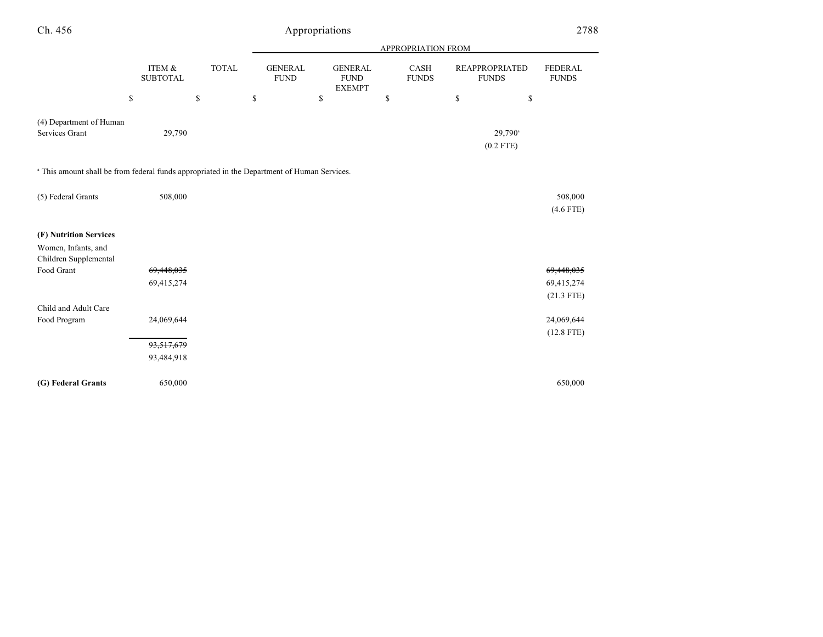| Ch. 456                                                                                     |                           |                                             |                               | Appropriations                                 |                           |                                       | 2788                           |
|---------------------------------------------------------------------------------------------|---------------------------|---------------------------------------------|-------------------------------|------------------------------------------------|---------------------------|---------------------------------------|--------------------------------|
|                                                                                             |                           |                                             |                               |                                                | <b>APPROPRIATION FROM</b> |                                       |                                |
|                                                                                             | ITEM &<br><b>SUBTOTAL</b> | <b>TOTAL</b>                                | <b>GENERAL</b><br><b>FUND</b> | <b>GENERAL</b><br><b>FUND</b><br><b>EXEMPT</b> | CASH<br><b>FUNDS</b>      | <b>REAPPROPRIATED</b><br><b>FUNDS</b> | <b>FEDERAL</b><br><b>FUNDS</b> |
|                                                                                             | \$                        | $\mathbb{S}% _{n}^{X\rightarrow\mathbb{R}}$ | \$                            | \$                                             | \$                        | \$<br>\$                              |                                |
| (4) Department of Human<br>Services Grant                                                   | 29,790                    |                                             |                               |                                                |                           | 29,790 <sup>a</sup>                   |                                |
|                                                                                             |                           |                                             |                               |                                                |                           | $(0.2$ FTE)                           |                                |
| a This amount shall be from federal funds appropriated in the Department of Human Services. |                           |                                             |                               |                                                |                           |                                       |                                |
| (5) Federal Grants                                                                          | 508,000                   |                                             |                               |                                                |                           |                                       | 508,000<br>$(4.6$ FTE)         |
| (F) Nutrition Services                                                                      |                           |                                             |                               |                                                |                           |                                       |                                |
| Women, Infants, and<br>Children Supplemental                                                |                           |                                             |                               |                                                |                           |                                       |                                |
| Food Grant                                                                                  | 69,448,035                |                                             |                               |                                                |                           |                                       | 69,448,035                     |
|                                                                                             | 69,415,274                |                                             |                               |                                                |                           |                                       | 69,415,274                     |
|                                                                                             |                           |                                             |                               |                                                |                           |                                       | $(21.3$ FTE)                   |
| Child and Adult Care                                                                        |                           |                                             |                               |                                                |                           |                                       |                                |
| Food Program                                                                                | 24,069,644                |                                             |                               |                                                |                           |                                       | 24,069,644                     |
|                                                                                             |                           |                                             |                               |                                                |                           |                                       | $(12.8$ FTE)                   |
|                                                                                             | 93,517,679                |                                             |                               |                                                |                           |                                       |                                |
|                                                                                             | 93,484,918                |                                             |                               |                                                |                           |                                       |                                |
| (G) Federal Grants                                                                          | 650,000                   |                                             |                               |                                                |                           |                                       | 650,000                        |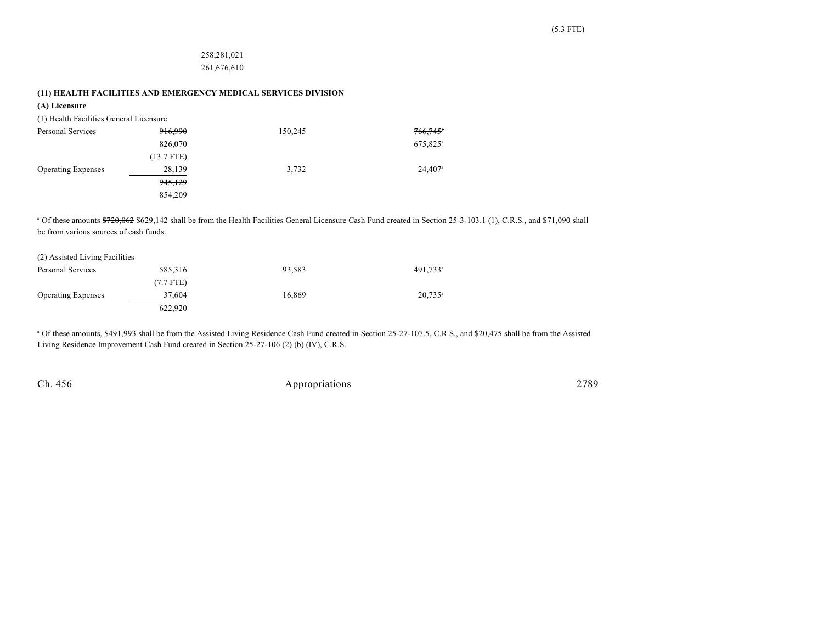## 258,281,021

261,676,610

**(11) HEALTH FACILITIES AND EMERGENCY MEDICAL SERVICES DIVISION**

| (A) Licensure                           |              |         |                                                                                                                                                                                 |  |
|-----------------------------------------|--------------|---------|---------------------------------------------------------------------------------------------------------------------------------------------------------------------------------|--|
| (1) Health Facilities General Licensure |              |         |                                                                                                                                                                                 |  |
| Personal Services                       | 916,990      | 150,245 | 766,745                                                                                                                                                                         |  |
|                                         | 826,070      |         | 675,825 <sup>a</sup>                                                                                                                                                            |  |
|                                         | $(13.7$ FTE) |         |                                                                                                                                                                                 |  |
| <b>Operating Expenses</b>               | 28,139       | 3,732   | 24,407 <sup>a</sup>                                                                                                                                                             |  |
|                                         | 945,129      |         |                                                                                                                                                                                 |  |
|                                         | 854,209      |         |                                                                                                                                                                                 |  |
| be from various sources of cash funds.  |              |         | <sup>a</sup> Of these amounts \$720,062 \$629,142 shall be from the Health Facilities General Licensure Cash Fund created in Section 25-3-103.1 (1), C.R.S., and \$71,090 shall |  |
| (2) Assisted Living Facilities          |              |         |                                                                                                                                                                                 |  |
| Personal Services                       | 585,316      | 93,583  | 491,733 <sup>a</sup>                                                                                                                                                            |  |
|                                         | $(7.7$ FTE)  |         |                                                                                                                                                                                 |  |
| <b>Operating Expenses</b>               | 37,604       | 16,869  | $20,735$ <sup>a</sup>                                                                                                                                                           |  |
|                                         | 622,920      |         |                                                                                                                                                                                 |  |
|                                         |              |         |                                                                                                                                                                                 |  |

<sup>a</sup> Of these amounts, \$491,993 shall be from the Assisted Living Residence Cash Fund created in Section 25-27-107.5, C.R.S., and \$20,475 shall be from the Assisted Living Residence Improvement Cash Fund created in Section 25-27-106 (2) (b) (IV), C.R.S.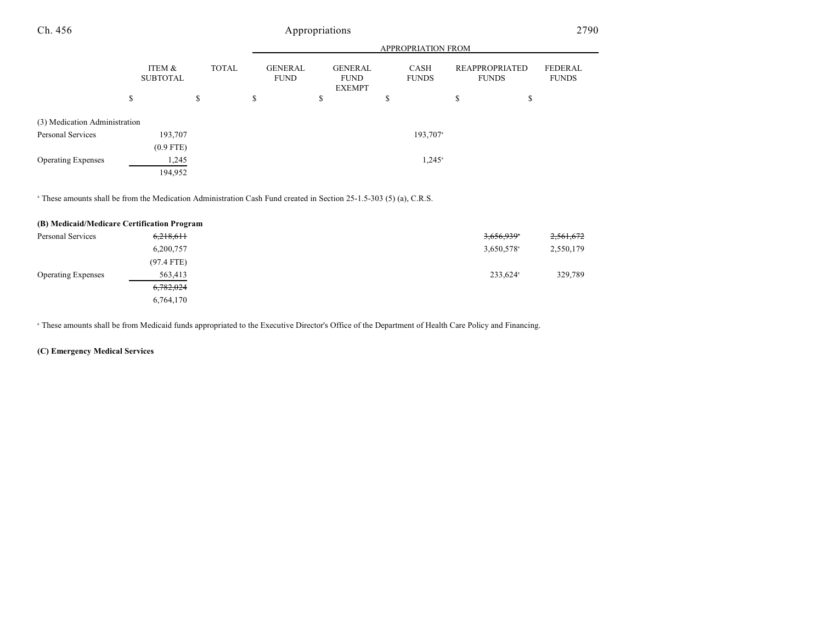|                               |                           |              | <b>APPROPRIATION FROM</b>     |                                                |                      |                                       |                         |
|-------------------------------|---------------------------|--------------|-------------------------------|------------------------------------------------|----------------------|---------------------------------------|-------------------------|
|                               | ITEM &<br><b>SUBTOTAL</b> | <b>TOTAL</b> | <b>GENERAL</b><br><b>FUND</b> | <b>GENERAL</b><br><b>FUND</b><br><b>EXEMPT</b> | CASH<br><b>FUNDS</b> | <b>REAPPROPRIATED</b><br><b>FUNDS</b> | FEDERAL<br><b>FUNDS</b> |
|                               | \$                        | S            | \$                            | \$                                             | S                    | \$<br>\$                              |                         |
| (3) Medication Administration |                           |              |                               |                                                |                      |                                       |                         |
| Personal Services             | 193,707                   |              |                               |                                                | 193,707 <sup>a</sup> |                                       |                         |
|                               | $(0.9$ FTE)               |              |                               |                                                |                      |                                       |                         |
| <b>Operating Expenses</b>     | 1,245                     |              |                               |                                                | $1,245^{\circ}$      |                                       |                         |
|                               | 194,952                   |              |                               |                                                |                      |                                       |                         |

<sup>a</sup> These amounts shall be from the Medication Administration Cash Fund created in Section 25-1.5-303 (5) (a), C.R.S.

| (B) Medicaid/Medicare Certification Program |              |                        |           |
|---------------------------------------------|--------------|------------------------|-----------|
| Personal Services                           | 6,218,611    | 3,656,939*             | 2,561,672 |
|                                             | 6,200,757    | 3,650,578 <sup>a</sup> | 2,550,179 |
|                                             | $(97.4$ FTE) |                        |           |
| <b>Operating Expenses</b>                   | 563,413      | 233,624 <sup>a</sup>   | 329,789   |
|                                             | 6,782,024    |                        |           |
|                                             | 6,764,170    |                        |           |

These amounts shall be from Medicaid funds appropriated to the Executive Director's Office of the Department of Health Care Policy and Financing. <sup>a</sup>

## **(C) Emergency Medical Services**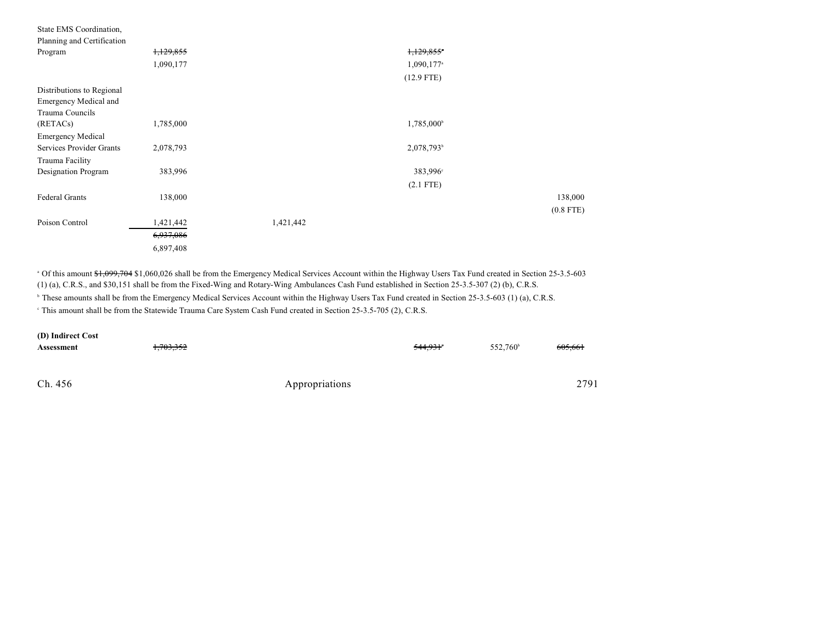| State EMS Coordination,    |           |           |                        |             |
|----------------------------|-----------|-----------|------------------------|-------------|
| Planning and Certification |           |           |                        |             |
| Program                    | 1,129,855 |           | 1,129,855*             |             |
|                            | 1,090,177 |           | 1,090,177 <sup>a</sup> |             |
|                            |           |           | $(12.9$ FTE)           |             |
| Distributions to Regional  |           |           |                        |             |
| Emergency Medical and      |           |           |                        |             |
| Trauma Councils            |           |           |                        |             |
| (RETACs)                   | 1,785,000 |           | 1,785,000 <sup>b</sup> |             |
| <b>Emergency Medical</b>   |           |           |                        |             |
| Services Provider Grants   | 2,078,793 |           | 2,078,793b             |             |
| Trauma Facility            |           |           |                        |             |
| Designation Program        | 383,996   |           | 383,996°               |             |
|                            |           |           | $(2.1$ FTE)            |             |
| Federal Grants             | 138,000   |           |                        | 138,000     |
|                            |           |           |                        | $(0.8$ FTE) |
| Poison Control             | 1,421,442 | 1,421,442 |                        |             |
|                            | 6,937,086 |           |                        |             |
|                            | 6,897,408 |           |                        |             |

<sup>a</sup> Of this amount \$1,099,704 \$1,060,026 shall be from the Emergency Medical Services Account within the Highway Users Tax Fund created in Section 25-3.5-603 (1) (a), C.R.S., and \$30,151 shall be from the Fixed-Wing and Rotary-Wing Ambulances Cash Fund established in Section 25-3.5-307 (2) (b), C.R.S.

<sup>b</sup> These amounts shall be from the Emergency Medical Services Account within the Highway Users Tax Fund created in Section 25-3.5-603 (1) (a), C.R.S.

This amount shall be from the Statewide Trauma Care System Cash Fund created in Section 25-3.5-705 (2), C.R.S.

| (D) Indirect Cost |                      |                |                      |                      |         |
|-------------------|----------------------|----------------|----------------------|----------------------|---------|
| Assessment        | <del>1,703,352</del> |                | 544,931 <sup>*</sup> | 552.760 <sup>b</sup> | 605.661 |
|                   |                      |                |                      |                      |         |
|                   |                      |                |                      |                      |         |
| Ch. 456           |                      | Appropriations |                      |                      | 2791    |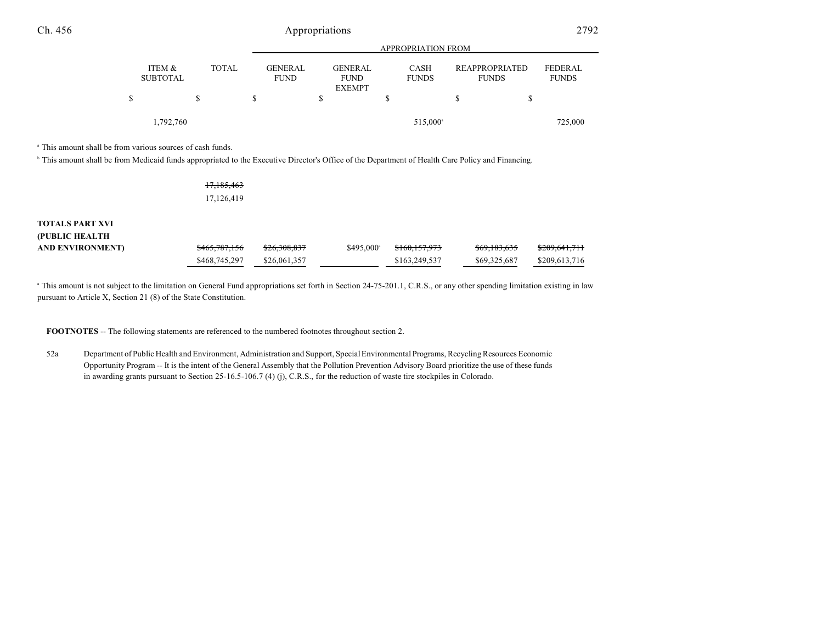|   |                           |                                               | <b>APPROPRIATION FROM</b>     |                             |  |                                                                         |  |
|---|---------------------------|-----------------------------------------------|-------------------------------|-----------------------------|--|-------------------------------------------------------------------------|--|
|   | ITEM &<br><b>SUBTOTAL</b> | <b>TOTAL</b><br><b>GENERAL</b><br><b>FUND</b> | <b>GENERAL</b><br><b>FUND</b> | <b>CASH</b><br><b>FUNDS</b> |  | <b>FEDERAL</b><br><b>REAPPROPRIATED</b><br><b>FUNDS</b><br><b>FUNDS</b> |  |
| S |                           | S                                             | <b>EXEMPT</b>                 |                             |  | \$                                                                      |  |
|   | 1,792,760                 |                                               |                               | 515,000 <sup>a</sup>        |  | 725,000                                                                 |  |

<sup>a</sup> This amount shall be from various sources of cash funds.

<sup>b</sup> This amount shall be from Medicaid funds appropriated to the Executive Director's Office of the Department of Health Care Policy and Financing.

| 17,185,463 |  |
|------------|--|
| 17,126,419 |  |

# **TOTALS PART XVI (PUBLIC HEALTH**

| <b>AND ENVIRONMENT</b> | <del>\$465.787.156</del> | <del>\$26.308.837</del> | $$495.000^{\circ}$$ | <del>\$160,157,973</del> | <del>\$69,183,635</del> | <del>\$209,641,711</del> |
|------------------------|--------------------------|-------------------------|---------------------|--------------------------|-------------------------|--------------------------|
|                        | \$468,745,297            | \$26,061,357            |                     | \$163,249,537            | \$69,325,687            | \$209,613,716            |

<sup>a</sup> This amount is not subject to the limitation on General Fund appropriations set forth in Section 24-75-201.1, C.R.S., or any other spending limitation existing in law pursuant to Article X, Section 21 (8) of the State Constitution.

**FOOTNOTES** -- The following statements are referenced to the numbered footnotes throughout section 2.

52a Department of Public Health and Environment, Administration and Support, SpecialEnvironmental Programs, Recycling Resources Economic Opportunity Program -- It is the intent of the General Assembly that the Pollution Prevention Advisory Board prioritize the use of these funds in awarding grants pursuant to Section 25-16.5-106.7 (4) (j), C.R.S., for the reduction of waste tire stockpiles in Colorado.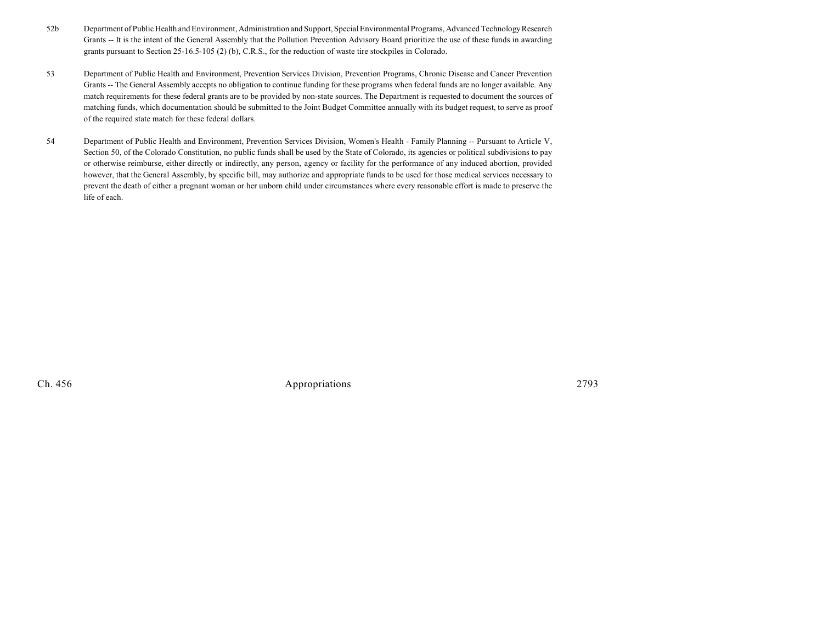- 52b Department of Public Health and Environment, Administration and Support, Special Environmental Programs, Advanced Technology Research Grants -- It is the intent of the General Assembly that the Pollution Prevention Advisory Board prioritize the use of these funds in awarding grants pursuant to Section 25-16.5-105 (2) (b), C.R.S., for the reduction of waste tire stockpiles in Colorado.
- 53 Department of Public Health and Environment, Prevention Services Division, Prevention Programs, Chronic Disease and Cancer Prevention Grants -- The General Assembly accepts no obligation to continue funding for these programs when federal funds are no longer available. Any match requirements for these federal grants are to be provided by non-state sources. The Department is requested to document the sources of matching funds, which documentation should be submitted to the Joint Budget Committee annually with its budget request, to serve as proof of the required state match for these federal dollars.
- 54 Department of Public Health and Environment, Prevention Services Division, Women's Health Family Planning -- Pursuant to Article V, Section 50, of the Colorado Constitution, no public funds shall be used by the State of Colorado, its agencies or political subdivisions to pay or otherwise reimburse, either directly or indirectly, any person, agency or facility for the performance of any induced abortion, provided however, that the General Assembly, by specific bill, may authorize and appropriate funds to be used for those medical services necessary to prevent the death of either a pregnant woman or her unborn child under circumstances where every reasonable effort is made to preserve the life of each.